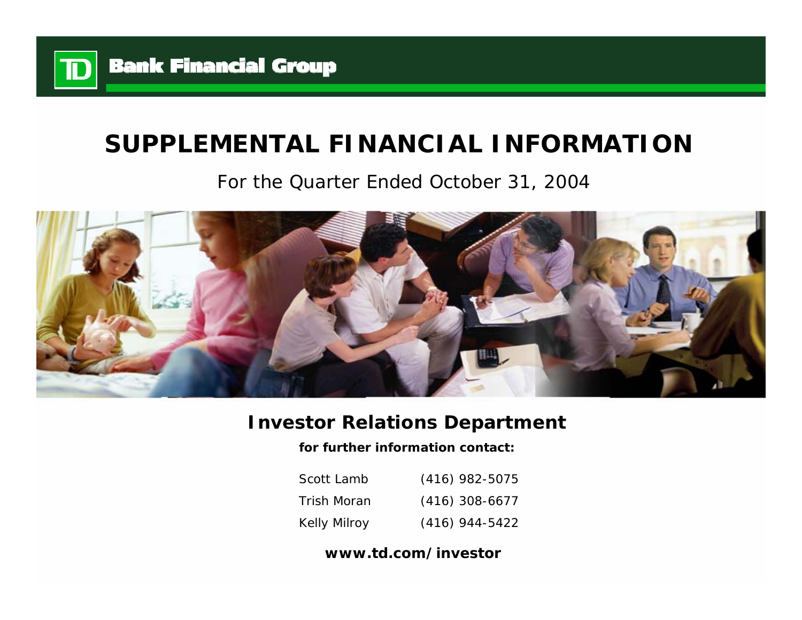

# **SUPPLEMENTAL FINANCIAL INFORMATION**

## For the Quarter Ended October 31, 2004



## **Investor Relations Department**

**for further information contact:**

| Scott Lamb          | $(416)$ 982-5075 |
|---------------------|------------------|
| Trish Moran         | $(416)$ 308-6677 |
| <b>Kelly Milroy</b> | $(416)$ 944-5422 |

## **www.td.com/investor**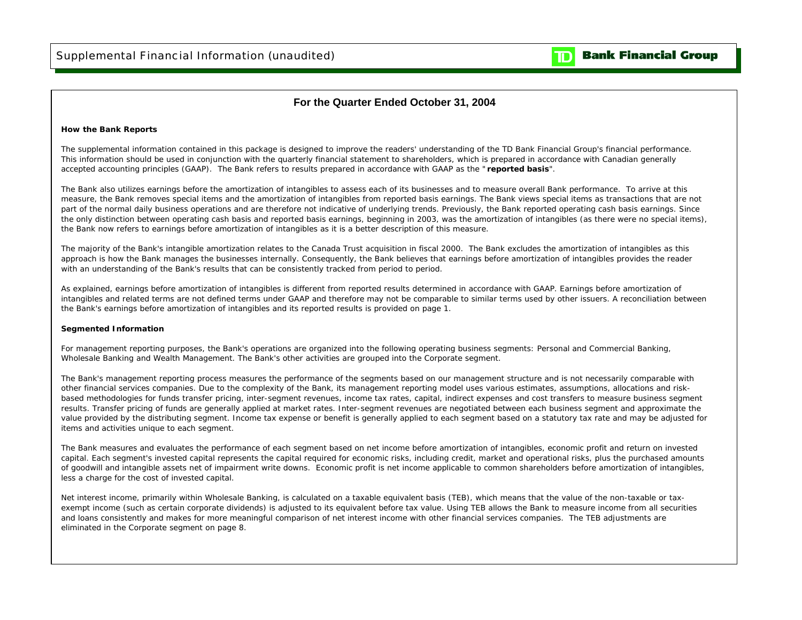

### **For the Quarter Ended October 31, 2004**

#### **How the Bank Reports**

The supplemental information contained in this package is designed to improve the readers' understanding of the TD Bank Financial Group's financial performance. This information should be used in conjunction with the quarterly financial statement to shareholders, which is prepared in accordance with Canadian generally accepted accounting principles (GAAP). The Bank refers to results prepared in accordance with GAAP as the " **reported basis**".

The Bank also utilizes earnings before the amortization of intangibles to assess each of its businesses and to measure overall Bank performance. To arrive at this measure, the Bank removes special items and the amortization of intangibles from reported basis earnings. The Bank views special items as transactions that are not part of the normal daily business operations and are therefore not indicative of underlying trends. Previously, the Bank reported operating cash basis earnings. Since the only distinction between operating cash basis and reported basis earnings, beginning in 2003, was the amortization of intangibles (as there were no special items), the Bank now refers to earnings before amortization of intangibles as it is a better description of this measure.

The majority of the Bank's intangible amortization relates to the Canada Trust acquisition in fiscal 2000. The Bank excludes the amortization of intangibles as this approach is how the Bank manages the businesses internally. Consequently, the Bank believes that earnings before amortization of intangibles provides the reader with an understanding of the Bank's results that can be consistently tracked from period to period.

As explained, earnings before amortization of intangibles is different from reported results determined in accordance with GAAP. Earnings before amortization of intangibles and related terms are not defined terms under GAAP and therefore may not be comparable to similar terms used by other issuers. A reconciliation between the Bank's earnings before amortization of intangibles and its reported results is provided on page 1.

#### **Segmented Information**

For management reporting purposes, the Bank's operations are organized into the following operating business segments: Personal and Commercial Banking, Wholesale Banking and Wealth Management. The Bank's other activities are grouped into the Corporate segment.

The Bank's management reporting process measures the performance of the segments based on our management structure and is not necessarily comparable with other financial services companies. Due to the complexity of the Bank, its management reporting model uses various estimates, assumptions, allocations and riskbased methodologies for funds transfer pricing, inter-segment revenues, income tax rates, capital, indirect expenses and cost transfers to measure business segment results. Transfer pricing of funds are generally applied at market rates. Inter-segment revenues are negotiated between each business segment and approximate the value provided by the distributing segment. Income tax expense or benefit is generally applied to each segment based on a statutory tax rate and may be adjusted for items and activities unique to each segment.

The Bank measures and evaluates the performance of each segment based on net income before amortization of intangibles, economic profit and return on invested capital. Each segment's invested capital represents the capital required for economic risks, including credit, market and operational risks, plus the purchased amounts of goodwill and intangible assets net of impairment write downs. Economic profit is net income applicable to common shareholders before amortization of intangibles, less a charge for the cost of invested capital.

Net interest income, primarily within Wholesale Banking, is calculated on a taxable equivalent basis (TEB), which means that the value of the non-taxable or taxexempt income (such as certain corporate dividends) is adjusted to its equivalent before tax value. Using TEB allows the Bank to measure income from all securities and loans consistently and makes for more meaningful comparison of net interest income with other financial services companies. The TEB adjustments are eliminated in the Corporate segment on page 8.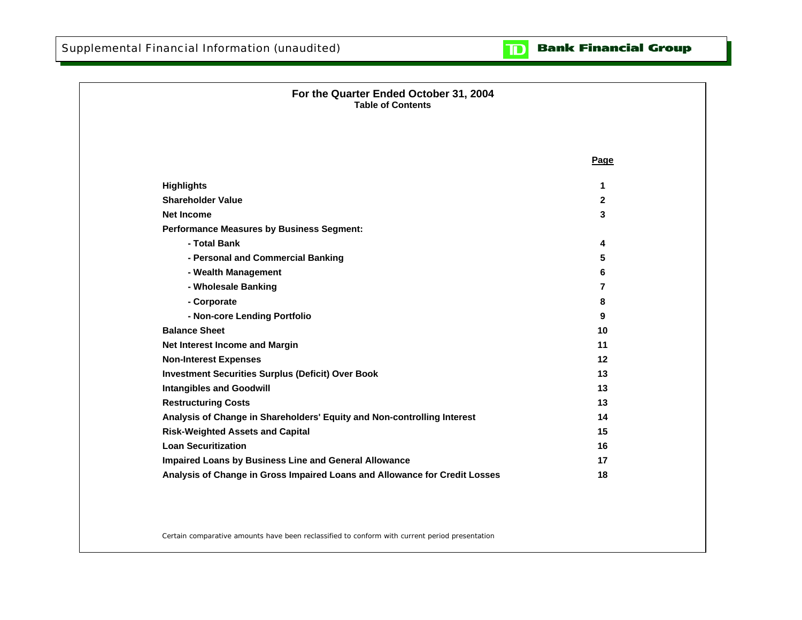

| For the Quarter Ended October 31, 2004<br><b>Table of Contents</b>         |                |  |
|----------------------------------------------------------------------------|----------------|--|
|                                                                            | Page           |  |
| <b>Highlights</b>                                                          | 1              |  |
| <b>Shareholder Value</b>                                                   | $\mathbf{2}$   |  |
| <b>Net Income</b>                                                          | 3              |  |
| <b>Performance Measures by Business Segment:</b>                           |                |  |
| - Total Bank                                                               | 4              |  |
| - Personal and Commercial Banking                                          | 5              |  |
| - Wealth Management                                                        | 6              |  |
| - Wholesale Banking                                                        | $\overline{7}$ |  |
| - Corporate                                                                | 8              |  |
| - Non-core Lending Portfolio                                               | 9              |  |
| <b>Balance Sheet</b>                                                       | 10             |  |
| Net Interest Income and Margin                                             | 11             |  |
| <b>Non-Interest Expenses</b>                                               | 12             |  |
| <b>Investment Securities Surplus (Deficit) Over Book</b>                   | 13             |  |
| <b>Intangibles and Goodwill</b>                                            | 13             |  |
| <b>Restructuring Costs</b>                                                 | 13             |  |
| Analysis of Change in Shareholders' Equity and Non-controlling Interest    | 14             |  |
| <b>Risk-Weighted Assets and Capital</b>                                    | 15             |  |
| <b>Loan Securitization</b>                                                 | 16             |  |
| Impaired Loans by Business Line and General Allowance                      | 17             |  |
| Analysis of Change in Gross Impaired Loans and Allowance for Credit Losses | 18             |  |

Certain comparative amounts have been reclassified to conform with current period presentation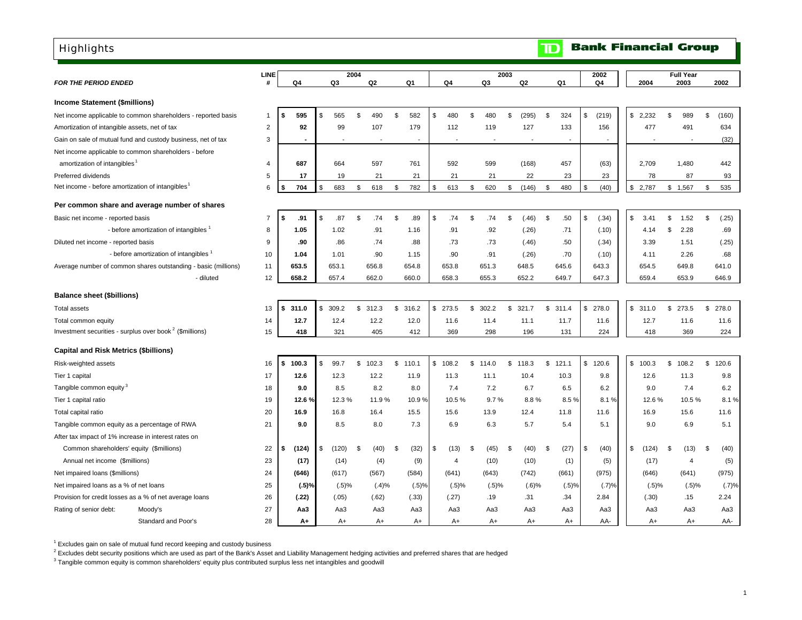## <span id="page-3-0"></span>**Highlights**

|                                                                     |                                      | <b>LINE</b>    |      |                |     | 2004  |                |                          |                |               |       | 2003 |                          |                | 2002                     |             |                | <b>Full Year</b>         |      |       |
|---------------------------------------------------------------------|--------------------------------------|----------------|------|----------------|-----|-------|----------------|--------------------------|----------------|---------------|-------|------|--------------------------|----------------|--------------------------|-------------|----------------|--------------------------|------|-------|
| <b>FOR THE PERIOD ENDED</b>                                         |                                      |                |      | Q4             |     | Q3    | Q <sub>2</sub> | Q1                       | Q4             |               | Q3    |      | Q2                       | Q1             | Q4                       | 2004        |                | 2003                     |      | 2002  |
| <b>Income Statement (\$millions)</b>                                |                                      |                |      |                |     |       |                |                          |                |               |       |      |                          |                |                          |             |                |                          |      |       |
| Net income applicable to common shareholders - reported basis       |                                      | -1             | -\$  | 595            | \$. | 565   | \$<br>490      | \$<br>582                | \$<br>480      | \$            | 480   | \$   | (295)                    | \$<br>324      | \$<br>(219)              | \$2,232     | \$             | 989                      | \$   | (160) |
| Amortization of intangible assets, net of tax                       |                                      | $\overline{2}$ |      | 92             |     | 99    | 107            | 179                      | 112            |               | 119   |      | 127                      | 133            | 156                      | 477         |                | 491                      |      | 634   |
| Gain on sale of mutual fund and custody business, net of tax        |                                      | 3              |      | $\blacksquare$ |     | Ĭ.    | $\blacksquare$ | $\overline{\phantom{a}}$ |                |               |       |      | $\overline{\phantom{a}}$ | $\blacksquare$ | $\overline{\phantom{a}}$ |             |                | $\overline{\phantom{a}}$ |      | (32)  |
| Net income applicable to common shareholders - before               |                                      |                |      |                |     |       |                |                          |                |               |       |      |                          |                |                          |             |                |                          |      |       |
| amortization of intangibles                                         |                                      | 4              |      | 687            |     | 664   | 597            | 761                      | 592            |               | 599   |      | (168)                    | 457            | (63)                     | 2,709       |                | 1,480                    |      | 442   |
| Preferred dividends                                                 |                                      | 5              |      | 17             |     | 19    | 21             | 21                       | 21             |               | 21    |      | 22                       | 23             | 23                       | 78          |                | 87                       |      | 93    |
| Net income - before amortization of intangibles <sup>1</sup>        |                                      | 6              | \$   | 704            | \$  | 683   | \$<br>618      | \$<br>782                | \$<br>613      | \$            | 620   | \$   | (146)                    | \$<br>480      | \$<br>(40)               | \$2,787     |                | \$1,567                  | \$   | 535   |
| Per common share and average number of shares                       |                                      |                |      |                |     |       |                |                          |                |               |       |      |                          |                |                          |             |                |                          |      |       |
| Basic net income - reported basis                                   |                                      | $\overline{7}$ | -\$  | .91            | S   | .87   | \$<br>.74      | \$<br>.89                | \$<br>.74      | \$            | .74   | \$   | (.46)                    | \$<br>.50      | \$<br>(.34)              | \$<br>3.41  | \$             | 1.52                     | \$   | (.25) |
|                                                                     | - before amortization of intangibles | 8              |      | 1.05           |     | 1.02  | .91            | 1.16                     | .91            |               | .92   |      | (.26)                    | .71            | (.10)                    | 4.14        | \$             | 2.28                     |      | .69   |
| Diluted net income - reported basis                                 |                                      | 9              |      | .90            |     | .86   | .74            | .88                      | .73            |               | .73   |      | (.46)                    | .50            | (.34)                    | 3.39        |                | 1.51                     |      | (.25) |
|                                                                     | - before amortization of intangibles | 10             |      | 1.04           |     | 1.01  | .90            | 1.15                     | .90            |               | .91   |      | (.26)                    | .70            | (.10)                    | 4.11        |                | 2.26                     |      | .68   |
| Average number of common shares outstanding - basic (millions)      |                                      | 11             |      | 653.5          |     | 653.1 | 656.8          | 654.8                    | 653.8          |               | 651.3 |      | 648.5                    | 645.6          | 643.3                    | 654.5       |                | 649.8                    |      | 641.0 |
|                                                                     | - diluted                            | 12             |      | 658.2          |     | 657.4 | 662.0          | 660.0                    | 658.3          |               | 655.3 |      | 652.2                    | 649.7          | 647.3                    | 659.4       |                | 653.9                    |      | 646.9 |
| <b>Balance sheet (\$billions)</b>                                   |                                      |                |      |                |     |       |                |                          |                |               |       |      |                          |                |                          |             |                |                          |      |       |
| <b>Total assets</b>                                                 |                                      | 13             | \$   | 311.0          | \$  | 309.2 | \$<br>312.3    | \$<br>316.2              | \$<br>273.5    | \$            | 302.2 | \$   | 321.7                    | \$<br>311.4    | \$278.0                  | \$311.0     | \$             | 273.5                    | \$   | 278.0 |
| Total common equity                                                 |                                      | 14             |      | 12.7           |     | 12.4  | 12.2           | 12.0                     | 11.6           |               | 11.4  |      | 11.1                     | 11.7           | 11.6                     | 12.7        |                | 11.6                     |      | 11.6  |
| Investment securities - surplus over book <sup>2</sup> (\$millions) |                                      | 15             |      | 418            |     | 321   | 405            | 412                      | 369            |               | 298   |      | 196                      | 131            | 224                      | 418         |                | 369                      |      | 224   |
| <b>Capital and Risk Metrics (\$billions)</b>                        |                                      |                |      |                |     |       |                |                          |                |               |       |      |                          |                |                          |             |                |                          |      |       |
| Risk-weighted assets                                                |                                      | 16             | - \$ | 100.3          | S.  | 99.7  | \$<br>102.3    | \$<br>110.1              | \$<br>108.2    | $\mathfrak s$ | 114.0 | \$   | 118.3                    | \$<br>121.1    | \$120.6                  | \$100.3     | $$\mathbb{S}$$ | 108.2                    | \$   | 120.6 |
| Tier 1 capital                                                      |                                      | 17             |      | 12.6           |     | 12.3  | 12.2           | 11.9                     | 11.3           |               | 11.1  |      | 10.4                     | 10.3           | 9.8                      | 12.6        |                | 11.3                     |      | 9.8   |
| Tangible common equity <sup>3</sup>                                 |                                      | 18             |      | 9.0            |     | 8.5   | 8.2            | 8.0                      | 7.4            |               | 7.2   |      | 6.7                      | 6.5            | 6.2                      | 9.0         |                | 7.4                      |      | 6.2   |
| Tier 1 capital ratio                                                |                                      | 19             |      | 12.6 %         |     | 12.3% | 11.9%          | 10.9%                    | 10.5%          |               | 9.7%  |      | 8.8%                     | 8.5%           | 8.1%                     | 12.6%       |                | 10.5%                    |      | 8.1%  |
| Total capital ratio                                                 |                                      | 20             |      | 16.9           |     | 16.8  | 16.4           | 15.5                     | 15.6           |               | 13.9  |      | 12.4                     | 11.8           | 11.6                     | 16.9        |                | 15.6                     |      | 11.6  |
| Tangible common equity as a percentage of RWA                       |                                      | 21             |      | 9.0            |     | 8.5   | 8.0            | 7.3                      | 6.9            |               | 6.3   |      | 5.7                      | 5.4            | 5.1                      | 9.0         |                | 6.9                      |      | 5.1   |
| After tax impact of 1% increase in interest rates on                |                                      |                |      |                |     |       |                |                          |                |               |       |      |                          |                |                          |             |                |                          |      |       |
| Common shareholders' equity (\$millions)                            |                                      | 22             | \$   | (124)          | \$  | (120) | \$<br>(40)     | \$<br>(32)               | \$<br>(13)     | Ŝ.            | (45)  | £    | (40)                     | \$<br>(27)     | \$<br>(40)               | \$<br>(124) | \$             | (13)                     | - \$ | (40)  |
| Annual net income (\$millions)                                      |                                      | 23             |      | (17)           |     | (14)  | (4)            | (9)                      | $\overline{4}$ |               | (10)  |      | (10)                     | (1)            | (5)                      | (17)        |                | $\overline{4}$           |      | (5)   |
| Net impaired loans (\$millions)                                     |                                      | 24             |      | (646)          |     | (617) | (567)          | (584)                    | (641)          |               | (643) |      | (742)                    | (661)          | (975)                    | (646)       |                | (641)                    |      | (975) |
| Net impaired loans as a % of net loans                              |                                      | 25             |      | (.5)%          |     | (.5)% | (.4)%          | (.5)%                    | (.5)%          |               | (.5)% |      | $(.6)$ %                 | (.5)%          | (.7)%                    | $(.5)$ %    |                | $(.5)$ %                 |      | (.7)% |
| Provision for credit losses as a % of net average loans             |                                      | 26             |      | (.22)          |     | (.05) | (.62)          | (.33)                    | (.27)          |               | .19   |      | .31                      | .34            | 2.84                     | (.30)       |                | .15                      |      | 2.24  |
| Rating of senior debt:<br>Moody's                                   |                                      | 27             |      | Aa3            |     | Aa3   | Aa3            | Aa3                      | Aa3            |               | Aa3   |      | АаЗ                      | Aa3            | Aa3                      | Aa3         |                | Aa3                      |      | Aa3   |
|                                                                     | Standard and Poor's                  | 28             |      | A+             |     | $A+$  | $A+$           | $A+$                     | $A+$           |               | $A+$  |      | $A+$                     | A+             | AA-                      | $A+$        |                | $A+$                     |      | AA-   |

 $1$  Excludes gain on sale of mutual fund record keeping and custody business

<sup>2</sup> Excludes debt security positions which are used as part of the Bank's Asset and Liability Management hedging activities and preferred shares that are hedged

<sup>3</sup> Tangible common equity is common shareholders' equity plus contributed surplus less net intangibles and goodwill

**Bank Financial Group** 

 $\overline{\mathbf{D}}$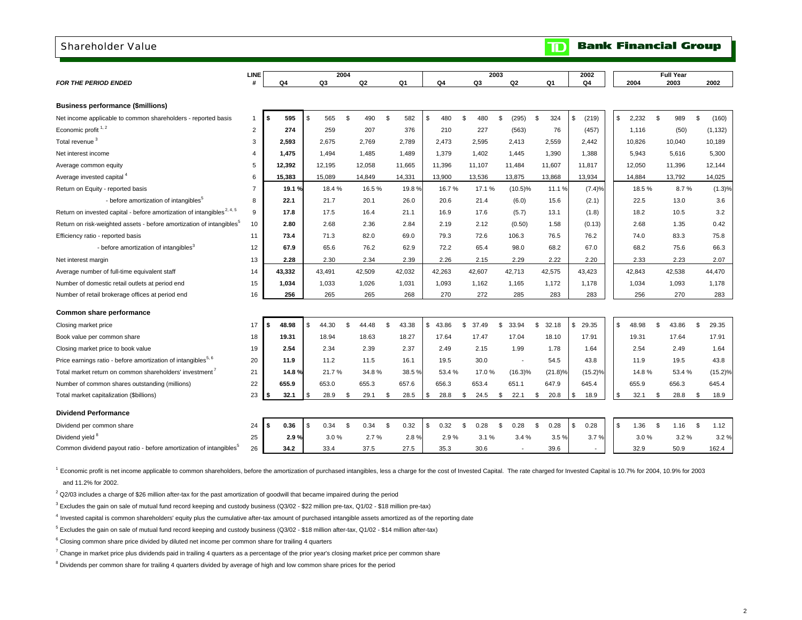#### <span id="page-4-0"></span>Shareholder Value

#### **Bank Financial Group**  $\mathbf{D}$

|                                                                                                                 | LINE           |               |    | 2004          |                |                |                |                |               | 2003   |                          |               |                     | 2002                     |               |     | <b>Full Year</b> |                |                     |
|-----------------------------------------------------------------------------------------------------------------|----------------|---------------|----|---------------|----------------|----------------|----------------|----------------|---------------|--------|--------------------------|---------------|---------------------|--------------------------|---------------|-----|------------------|----------------|---------------------|
| <b>FOR THE PERIOD ENDED</b>                                                                                     | #              | Q4            |    | Q3            |                | Q <sub>2</sub> | Q1             | Q4             | Q3            |        | Q <sub>2</sub>           |               | Q1                  | Q4                       | 2004          |     | 2003             |                | 2002                |
|                                                                                                                 |                |               |    |               |                |                |                |                |               |        |                          |               |                     |                          |               |     |                  |                |                     |
| <b>Business performance (\$millions)</b>                                                                        |                |               |    |               |                |                |                |                |               |        |                          |               |                     |                          |               |     |                  |                |                     |
| Net income applicable to common shareholders - reported basis                                                   | 1              | 595<br>\$     | \$ | 565           | \$             | 490            | 582<br>\$      | \$<br>480      | <sup>\$</sup> | 480    | \$<br>(295)              | <sup>\$</sup> | 324                 | \$<br>(219)              | \$<br>2.232   | \$  | 989              | $\mathfrak{L}$ | (160)               |
| Economic profit <sup>1,2</sup>                                                                                  | $\overline{2}$ | 274           |    | 259           |                | 207            | 376            | 210            |               | 227    | (563)                    |               | 76                  | (457)                    | 1,116         |     | (50)             |                | (1, 132)            |
| Total revenue <sup>3</sup>                                                                                      | 3              | 2,593         |    | 2,675         |                | 2,769          | 2,789          | 2,473          | 2,595         |        | 2,413                    |               | 2,559               | 2.442                    | 10,826        |     | 10,040           |                | 10,189              |
| Net interest income                                                                                             | $\overline{4}$ | 1.475         |    | 1,494         |                | 1,485          | 1,489          | 1,379          | 1,402         |        | 1,445                    |               | 1,390               | 1.388                    | 5.943         |     | 5,616            |                | 5,300               |
| Average common equity                                                                                           | 5              | 12,392        |    | 12.195        |                | 12,058         | 11.665         | 11.396         | 11.107        |        | 11.484                   |               | 11.607              | 11.817                   | 12.050        |     | 11,396           |                | 12.144              |
| Average invested capital <sup>4</sup>                                                                           | 6              | 15,383        |    | 15,089        |                | 14,849         | 14,331         | 13,900         | 13,536        |        | 13,875                   |               | 13,868              | 13,934                   | 14,884        |     | 13,792           |                | 14,025              |
| Return on Equity - reported basis                                                                               | $\overline{7}$ | 19.1 %        |    | 18.4%         |                | 16.5%          | 19.8%          | 16.7%          |               | 17.1 % | $(10.5)\%$               |               | 11.1 %              | (7.4)%                   | 18.5%         |     | 8.7%             |                | (1.3)%              |
| - before amortization of intangibles <sup>5</sup>                                                               | 8              | 22.1          |    | 21.7          |                | 20.1           | 26.0           | 20.6           |               | 21.4   | (6.0)                    |               | 15.6                | (2.1)                    | 22.5          |     | 13.0             |                | 3.6                 |
| Return on invested capital - before amortization of intangibles <sup>2, 4, 5</sup>                              | 9              | 17.8          |    | 17.5          |                | 16.4           | 21.1           | 16.9           |               | 17.6   | (5.7)                    |               | 13.1                | (1.8)                    | 18.2          |     | 10.5             |                | 3.2                 |
| Return on risk-weighted assets - before amortization of intangibles <sup>5</sup>                                | 10             | 2.80          |    | 2.68          |                | 2.36           | 2.84           | 2.19           |               | 2.12   | (0.50)                   |               | 1.58                | (0.13)                   | 2.68          |     | 1.35             |                | 0.42                |
| Efficiency ratio - reported basis                                                                               | 11             | 73.4          |    | 71.3          |                | 82.0           | 69.0           | 79.3           |               | 72.6   | 106.3                    |               | 76.5                | 76.2                     | 74.0          |     | 83.3             |                | 75.8                |
| - before amortization of intangibles <sup>3</sup>                                                               | 12             | 67.9          |    | 65.6          |                | 76.2           | 62.9           | 72.2           |               | 65.4   | 98.0                     |               | 68.2                | 67.0                     | 68.2          |     | 75.6             |                | 66.3                |
| Net interest margin                                                                                             | 13             | 2.28          |    | 2.30          |                | 2.34           | 2.39           | 2.26           |               | 2.15   | 2.29                     |               | 2.22                | 2.20                     | 2.33          |     | 2.23             |                | 2.07                |
| Average number of full-time equivalent staff                                                                    | 14             | 43,332        |    | 43,491        |                | 42,509         | 42,032         | 42,263         | 42,607        |        | 42,713                   |               | 42,575              | 43,423                   | 42,843        |     | 42,538           |                | 44,470              |
| Number of domestic retail outlets at period end                                                                 | 15             | 1.034         |    | 1,033         |                | 1,026          | 1,031          | 1.093          | 1.162         |        | 1.165                    |               | 1.172               | 1.178                    | 1,034         |     | 1.093            |                | 1,178               |
| Number of retail brokerage offices at period end                                                                | 16             | 256           |    | 265           |                | 265            | 268            | 270            |               | 272    | 285                      |               | 283                 | 283                      | 256           |     | 270              |                | 283                 |
| Common share performance                                                                                        |                |               |    |               |                |                |                |                |               |        |                          |               |                     |                          |               |     |                  |                |                     |
|                                                                                                                 | 17             | 48.98<br>-\$  | \$ | 44.30         | $\mathfrak{L}$ | 44.48          | \$<br>43.38    | \$<br>43.86    | \$<br>37.49   |        | \$<br>33.94              | \$            | 32.18               | \$<br>29.35              | \$<br>48.98   | \$. | 43.86            | $\mathcal{F}$  | 29.35               |
| Closing market price<br>Book value per common share                                                             | 18             | 19.31         |    | 18.94         |                | 18.63          | 18.27          | 17.64          | 17.47         |        | 17.04                    |               | 18.10               | 17.91                    | 19.31         |     | 17.64            |                | 17.91               |
|                                                                                                                 | 19             | 2.54          |    | 2.34          |                | 2.39           | 2.37           | 2.49           |               | 2.15   | 1.99                     |               | 1.78                | 1.64                     | 2.54          |     | 2.49             |                | 1.64                |
| Closing market price to book value<br>Price earnings ratio - before amortization of intangibles <sup>5, 6</sup> | 20             |               |    |               |                |                |                |                |               | 30.0   | $\overline{\phantom{a}}$ |               |                     | 43.8                     |               |     | 19.5             |                | 43.8                |
| Total market return on common shareholders' investment'                                                         | 21             | 11.9<br>14.8% |    | 11.2<br>21.7% |                | 11.5<br>34.8%  | 16.1<br>38.5 % | 19.5<br>53.4 % |               | 17.0%  |                          |               | 54.5                |                          | 11.9<br>14.8% |     | 53.4 %           |                |                     |
|                                                                                                                 | 22             | 655.9         |    | 653.0         |                | 655.3          | 657.6          | 656.3          | 653.4         |        | $(16.3)\%$<br>651.1      |               | $(21.8)\%$<br>647.9 | $(15.2)$ %<br>645.4      | 655.9         |     | 656.3            |                | $(15.2)\%$<br>645.4 |
| Number of common shares outstanding (millions)                                                                  | 23             | - \$          | S  | 28.9          | \$             | 29.1           | \$<br>28.5     | \$<br>28.8     | \$            |        | \$<br>22.1               |               | 20.8                | \$<br>18.9               | \$<br>32.1    | \$  | 28.8             | \$             | 18.9                |
| Total market capitalization (\$billions)                                                                        |                | 32.1          |    |               |                |                |                |                |               | 24.5   |                          | \$            |                     |                          |               |     |                  |                |                     |
| <b>Dividend Performance</b>                                                                                     |                |               |    |               |                |                |                |                |               |        |                          |               |                     |                          |               |     |                  |                |                     |
| Dividend per common share                                                                                       | 24             | 0.36<br>- 5   | \$ | 0.34          | \$             | 0.34           | \$<br>0.32     | \$<br>0.32     | \$            | 0.28   | \$<br>0.28               | \$            | 0.28                | \$<br>0.28               | \$<br>1.36    | \$  | 1.16             | \$             | 1.12                |
| Dividend yield <sup>8</sup>                                                                                     | 25             | 2.9%          |    | 3.0%          |                | 2.7%           | 2.8%           | 2.9%           |               | 3.1%   | 3.4%                     |               | 3.5%                | 3.7%                     | 3.0%          |     | 3.2%             |                | 3.2%                |
| Common dividend payout ratio - before amortization of intangibles <sup>5</sup>                                  | 26             | 34.2          |    | 33.4          |                | 37.5           | 27.5           | 35.3           |               | 30.6   | $\overline{\phantom{a}}$ |               | 39.6                | $\overline{\phantom{0}}$ | 32.9          |     | 50.9             |                | 162.4               |

<sup>1</sup> Economic profit is net income applicable to common shareholders, before the amortization of purchased intangibles, less a charge for the cost of Invested Capital. The rate charged for Invested Capital is 10.7% for 2004 and 11.2% for 2002.

 $2$  Q2/03 includes a charge of \$26 million after-tax for the past amortization of goodwill that became impaired during the period

3 Excludes the gain on sale of mutual fund record keeping and custody business (Q3/02 - \$22 million pre-tax, Q1/02 - \$18 million pre-tax)

4 Invested capital is common shareholders' equity plus the cumulative after-tax amount of purchased intangible assets amortized as of the reporting date

 $5$  Excludes the gain on sale of mutual fund record keeping and custody business (Q3/02 - \$18 million after-tax, Q1/02 - \$14 million after-tax)

<sup>6</sup> Closing common share price divided by diluted net income per common share for trailing 4 quarters

 $7$  Change in market price plus dividends paid in trailing 4 quarters as a percentage of the prior year's closing market price per common share

<sup>8</sup> Dividends per common share for trailing 4 quarters divided by average of high and low common share prices for the period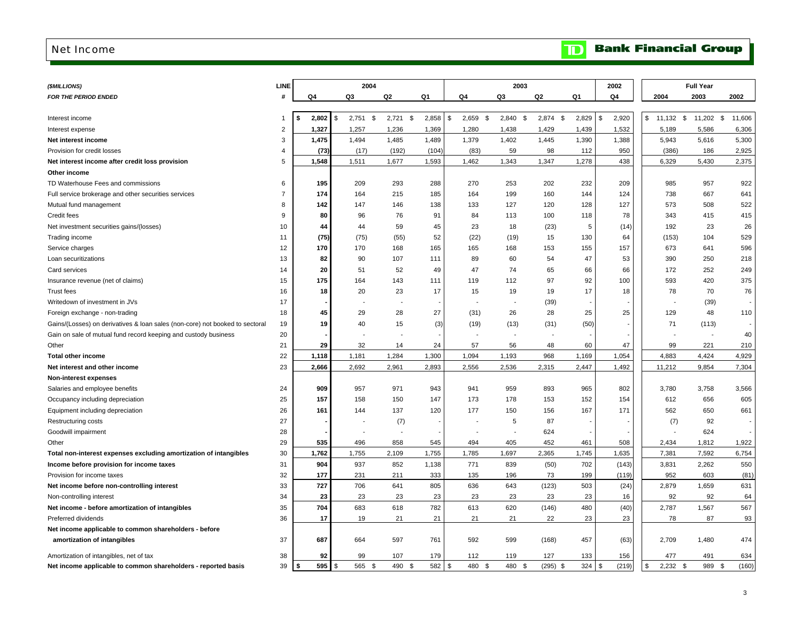#### <span id="page-5-0"></span>Net Income

| <b>Bank Financial Group</b> |  |
|-----------------------------|--|
|-----------------------------|--|

| (\$MILLIONS)                                                                 | LINE           |       | 2004                        |             |       |                   | 2003      |            |       | 2002        |              | <b>Full Year</b>   |        |
|------------------------------------------------------------------------------|----------------|-------|-----------------------------|-------------|-------|-------------------|-----------|------------|-------|-------------|--------------|--------------------|--------|
| <b>FOR THE PERIOD ENDED</b>                                                  |                | Q4    | Q3                          | Q2          | Q1    | Q4                | Q3        | Q2         | Q1    | Q4          | 2004         | 2003               | 2002   |
|                                                                              |                |       |                             |             |       |                   |           |            |       |             |              |                    |        |
| Interest income                                                              |                | 2,802 | $2,751$ \$<br>$\mathcal{F}$ | $2,721$ \$  | 2,858 | \$<br>2,659<br>\$ | 2,840 \$  | 2,874 \$   | 2,829 | \$<br>2,920 | \$<br>11,132 | 11,202 \$<br>\$    | 11,606 |
| Interest expense                                                             | $\overline{2}$ | 1,327 | 1,257                       | 1,236       | 1,369 | 1,280             | 1,438     | 1,429      | 1,439 | 1,532       | 5,189        | 5,586              | 6,306  |
| Net interest income                                                          | 3              | 1,475 | 1,494                       | 1,485       | 1,489 | 1,379             | 1,402     | 1,445      | 1,390 | 1,388       | 5,943        | 5,616              | 5,300  |
| Provision for credit losses                                                  | 4              | (73)  | (17)                        | (192)       | (104) | (83)              | 59        | 98         | 112   | 950         | (386)        | 186                | 2,925  |
| Net interest income after credit loss provision                              | 5              | 1,548 | 1,511                       | 1,677       | 1,593 | 1,462             | 1,343     | 1,347      | 1,278 | 438         | 6,329        | 5,430              | 2,375  |
| Other income                                                                 |                |       |                             |             |       |                   |           |            |       |             |              |                    |        |
| TD Waterhouse Fees and commissions                                           | 6              | 195   | 209                         | 293         | 288   | 270               | 253       | 202        | 232   | 209         | 985          | 957                | 922    |
| Full service brokerage and other securities services                         | $\overline{7}$ | 174   | 164                         | 215         | 185   | 164               | 199       | 160        | 144   | 124         | 738          | 667                | 641    |
| Mutual fund management                                                       | 8              | 142   | 147                         | 146         | 138   | 133               | 127       | 120        | 128   | 127         | 573          | 508                | 522    |
| Credit fees                                                                  | 9              | 80    | 96                          | 76          | 91    | 84                | 113       | 100        | 118   | 78          | 343          | 415                | 415    |
| Net investment securities gains/(losses)                                     | 10             | 44    | 44                          | 59          | 45    | 23                | 18        | (23)       | 5     | (14)        | 192          | 23                 | 26     |
| Trading income                                                               | 11             | (75)  | (75)                        | (55)        | 52    | (22)              | (19)      | 15         | 130   | 64          | (153)        | 104                | 529    |
| Service charges                                                              | 12             | 170   | 170                         | 168         | 165   | 165               | 168       | 153        | 155   | 157         | 673          | 641                | 596    |
| Loan securitizations                                                         | 13             | 82    | 90                          | 107         | 111   | 89                | 60        | 54         | 47    | 53          | 390          | 250                | 218    |
| Card services                                                                | 14             | 20    | 51                          | 52          | 49    | 47                | 74        | 65         | 66    | 66          | 172          | 252                | 249    |
| Insurance revenue (net of claims)                                            | 15             | 175   | 164                         | 143         | 111   | 119               | 112       | 97         | 92    | 100         | 593          | 420                | 375    |
| <b>Trust fees</b>                                                            | 16             | 18    | 20                          | 23          | 17    | 15                | 19        | 19         | 17    | 18          | 78           | 70                 | 76     |
| Writedown of investment in JVs                                               | 17             |       |                             |             |       |                   |           | (39)       |       |             |              | (39)               |        |
| Foreign exchange - non-trading                                               | 18             | 45    | 29                          | 28          | 27    | (31)              | 26        | 28         | 25    | 25          | 129          | 48                 | 110    |
| Gains/(Losses) on derivatives & loan sales (non-core) not booked to sectoral | 19             | 19    | 40                          | 15          | (3)   | (19)              | (13)      | (31)       | (50)  |             | 71           | (113)              |        |
| Gain on sale of mutual fund record keeping and custody business              | 20             |       |                             |             |       |                   |           |            |       |             |              |                    | 40     |
| Other                                                                        | 21             | 29    | 32                          | 14          | 24    | 57                | 56        | 48         | 60    | 47          | 99           | 221                | 210    |
| <b>Total other income</b>                                                    | 22             | 1,118 | 1,181                       | 1,284       | 1,300 | 1,094             | 1,193     | 968        | 1,169 | 1,054       | 4,883        | 4,424              | 4,929  |
| Net interest and other income                                                | 23             | 2,666 | 2,692                       | 2,961       | 2,893 | 2,556             | 2,536     | 2,315      | 2,447 | 1,492       | 11,212       | 9,854              | 7,304  |
| <b>Non-interest expenses</b>                                                 |                |       |                             |             |       |                   |           |            |       |             |              |                    |        |
| Salaries and employee benefits                                               | 24             | 909   | 957                         | 971         | 943   | 941               | 959       | 893        | 965   | 802         | 3,780        | 3,758              | 3,566  |
| Occupancy including depreciation                                             | 25             | 157   | 158                         | 150         | 147   | 173               | 178       | 153        | 152   | 154         | 612          | 656                | 605    |
| Equipment including depreciation                                             | 26             | 161   | 144                         | 137         | 120   | 177               | 150       | 156        | 167   | 171         | 562          | 650                | 661    |
| Restructuring costs                                                          | 27             |       |                             | (7)         |       |                   | 5         | 87         |       |             | (7)          | 92                 |        |
| Goodwill impairment                                                          | 28             |       |                             |             |       |                   |           | 624        |       |             |              | 624                |        |
| Other                                                                        | 29             | 535   | 496                         | 858         | 545   | 494               | 405       | 452        | 461   | 508         | 2,434        | 1,812              | 1,922  |
| Total non-interest expenses excluding amortization of intangibles            | 30             | 1,762 | 1,755                       | 2,109       | 1,755 | 1,785             | 1,697     | 2,365      | 1,745 | 1,635       | 7,381        | 7,592              | 6,754  |
| Income before provision for income taxes                                     | 31             | 904   | 937                         | 852         | 1,138 | 771               | 839       | (50)       | 702   | (143)       | 3,831        | 2,262              | 550    |
| Provision for income taxes                                                   | 32             | 177   | 231                         | 211         | 333   | 135               | 196       | 73         | 199   | (119)       | 952          | 603                | (81)   |
| Net income before non-controlling interest                                   | 33             | 727   | 706                         | 641         | 805   | 636               | 643       | (123)      | 503   | (24)        | 2,879        | 1,659              | 631    |
| Non-controlling interest                                                     | 34             | 23    | 23                          | 23          | 23    | 23                | 23        | 23         | 23    | 16          | 92           | 92                 | 64     |
| Net income - before amortization of intangibles                              | 35             | 704   | 683                         | 618         | 782   | 613               | 620       | (146)      | 480   | (40)        | 2,787        | 1,567              | 567    |
| Preferred dividends                                                          | 36             | 17    | 19                          | 21          | 21    | 21                | 21        | 22         | 23    | 23          | 78           | 87                 | 93     |
| Net income applicable to common shareholders - before                        |                |       |                             |             |       |                   |           |            |       |             |              |                    |        |
| amortization of intangibles                                                  | 37             | 687   | 664                         | 597         | 761   | 592               | 599       | (168)      | 457   | (63)        | 2,709        | 1,480              | 474    |
| Amortization of intangibles, net of tax                                      | 38             | 92    | 99                          | 107         | 179   | 112               | 119       | 127        | 133   | 156         | 477          | 491                | 634    |
| Net income applicable to common shareholders - reported basis                | 39             | 595   | 565<br>\$.<br>- \$          | 490<br>- \$ | 582   | 480<br>\$<br>- \$ | 480<br>\$ | $(295)$ \$ | 324   | (219)<br>\$ | 2,232<br>\$  | 989<br>-\$<br>- \$ | (160)  |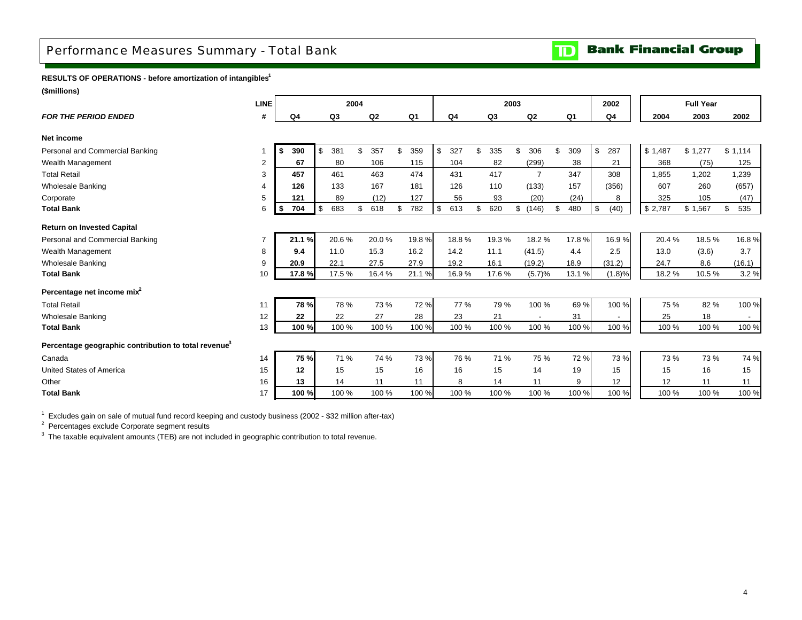## <span id="page-6-0"></span>Performance Measures Summary - Total Bank

**Bank Financial Group**  $\mathbf{D}$ 

**RESULTS OF OPERATIONS - before amortization of intangibles1**

**(\$millions)**

| <b>LINE</b> |           |                                                |                                                                                                                                              |      |                                                  |           |                    |                |                |                           |       | 2002                                     |                                                    | <b>Full Year</b>   |                                                               |
|-------------|-----------|------------------------------------------------|----------------------------------------------------------------------------------------------------------------------------------------------|------|--------------------------------------------------|-----------|--------------------|----------------|----------------|---------------------------|-------|------------------------------------------|----------------------------------------------------|--------------------|---------------------------------------------------------------|
| #           | Q4        |                                                | Q2                                                                                                                                           |      | Q <sub>1</sub>                                   |           |                    | Q <sub>3</sub> | Q2             |                           |       | Q4                                       | 2004                                               | 2003               | 2002                                                          |
|             |           |                                                |                                                                                                                                              |      |                                                  |           |                    |                |                |                           |       |                                          |                                                    |                    |                                                               |
|             | 390<br>\$ | \$                                             | \$<br>357                                                                                                                                    | \$   | 359                                              | \$<br>327 | \$                 | 335            | \$<br>306      | \$                        | 309   | \$<br>287                                |                                                    |                    | \$1,114                                                       |
| 2           | 67        |                                                | 106                                                                                                                                          |      | 115                                              | 104       |                    | 82             | (299)          |                           | 38    | 21                                       | 368                                                | (75)               | 125                                                           |
| 3           | 457       |                                                | 463                                                                                                                                          |      | 474                                              | 431       |                    | 417            | $\overline{7}$ |                           | 347   | 308                                      | 1,855                                              | 1,202              | 1,239                                                         |
| 4           | 126       |                                                | 167                                                                                                                                          |      | 181                                              | 126       |                    | 110            | (133)          |                           | 157   | (356)                                    | 607                                                | 260                | (657)                                                         |
| 5           | 121       |                                                | (12)                                                                                                                                         |      | 127                                              | 56        |                    | 93             | (20)           |                           | (24)  | 8                                        | 325                                                | 105                | (47)                                                          |
| 6           | 704<br>\$ | \$                                             | \$<br>618                                                                                                                                    | \$   | 782                                              | \$<br>613 | \$                 | 620            | \$             | \$                        | 480   | \$<br>(40)                               |                                                    |                    | 535<br>\$                                                     |
|             |           |                                                |                                                                                                                                              |      |                                                  |           |                    |                |                |                           |       |                                          |                                                    |                    |                                                               |
|             |           |                                                |                                                                                                                                              |      | 19.8%                                            |           |                    | 19.3%          | 18.2%          |                           |       |                                          | 20.4 %                                             |                    | 16.8%                                                         |
| 8           | 9.4       |                                                | 15.3                                                                                                                                         |      | 16.2                                             |           |                    | 11.1           |                |                           | 4.4   | 2.5                                      | 13.0                                               | (3.6)              | 3.7                                                           |
| 9           | 20.9      |                                                | 27.5                                                                                                                                         |      | 27.9                                             |           |                    | 16.1           |                |                           |       | (31.2)                                   | 24.7                                               | 8.6                | (16.1)                                                        |
| 10          |           |                                                |                                                                                                                                              |      | 21.1%                                            |           |                    | 17.6%          | (5.7)%         |                           |       |                                          | 18.2%                                              |                    | 3.2%                                                          |
|             |           |                                                |                                                                                                                                              |      |                                                  |           |                    |                |                |                           |       |                                          |                                                    |                    |                                                               |
| 11          |           |                                                |                                                                                                                                              |      | 72 %                                             | 77 %      |                    | 79 %           | 100 %          |                           | 69%   |                                          | 75 %                                               |                    | 100 %                                                         |
| 12          | 22        |                                                | 27                                                                                                                                           |      | 28                                               | 23        |                    | 21             |                |                           | 31    |                                          | 25                                                 | 18                 | $\sim$                                                        |
| 13          |           |                                                |                                                                                                                                              |      | 100 %                                            | 100 %     |                    | 100 %          | 100 %          |                           | 100 % |                                          | 100 %                                              |                    | 100 %                                                         |
|             |           |                                                |                                                                                                                                              |      |                                                  |           |                    |                |                |                           |       |                                          |                                                    |                    |                                                               |
| 14          |           |                                                |                                                                                                                                              |      | 73 %                                             | 76 %      |                    | 71 %           | 75 %           |                           | 72 %  |                                          | 73%                                                |                    | 74 %                                                          |
| 15          | 12        |                                                | 15                                                                                                                                           |      | 16                                               | 16        |                    | 15             | 14             |                           | 19    | 15                                       | 15                                                 | 16                 | 15                                                            |
| 16          | 13        |                                                | 11                                                                                                                                           |      | 11                                               | 8         |                    | 14             | 11             |                           | 9     | 12                                       | 12                                                 | 11                 | 11                                                            |
| 17          |           |                                                |                                                                                                                                              |      | 100 %                                            | 100 %     |                    | 100 %          | 100 %          |                           | 100 % |                                          | 100 %                                              | 100 %              | 100 %                                                         |
|             |           | 21.1%<br>17.8%<br>78 %<br>100%<br>75 %<br>100% | Q <sub>3</sub><br>381<br>80<br>461<br>133<br>89<br>683<br>20.6%<br>11.0<br>22.1<br>17.5%<br>78 %<br>22<br>100 %<br>71 %<br>15<br>14<br>100 % | 2004 | 20.0%<br>16.4%<br>73 %<br>100 %<br>74 %<br>100 % |           | Q4<br>14.2<br>19.2 | 18.8%<br>16.9% | 2003           | (146)<br>(41.5)<br>(19.2) |       | Q <sub>1</sub><br>17.8%<br>18.9<br>13.1% | 16.9%<br>(1.8)%<br>100 %<br>100 %<br>73 %<br>100 % | \$1,487<br>\$2,787 | \$1,277<br>\$1,567<br>18.5%<br>10.5%<br>82 %<br>100 %<br>73 % |

 $^1$  Excludes gain on sale of mutual fund record keeping and custody business (2002 - \$32 million after-tax)

 $2$  Percentages exclude Corporate segment results

<sup>3</sup> The taxable equivalent amounts (TEB) are not included in geographic contribution to total revenue.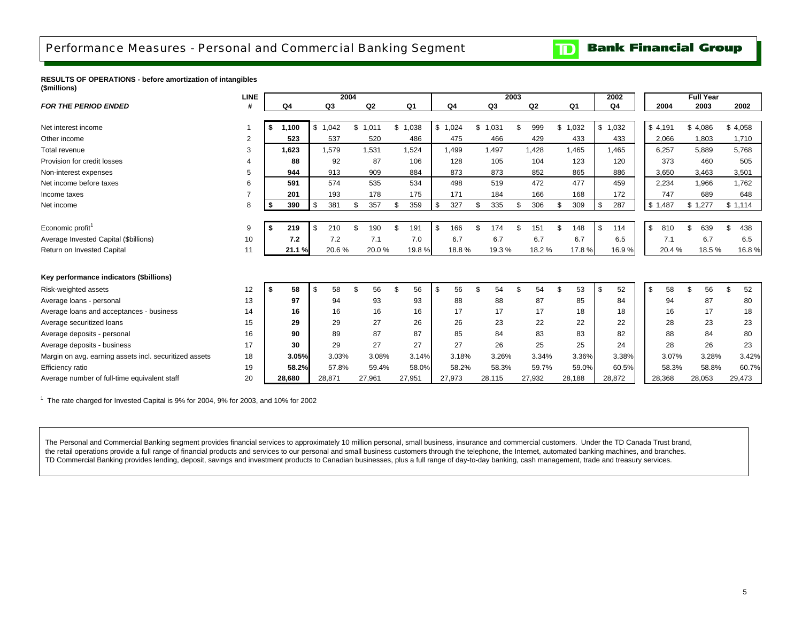## <span id="page-7-0"></span>Performance Measures - Personal and Commercial Banking Segment

#### **Bank Financial Group**  $\mathbf{D}$

**RESULTS OF OPERATIONS - before amortization of intangibles (\$millions)**

|                                                        | <b>LINE</b> |             |           | 2004   |                |         |       |           |     |                | 2003 |                |              |                |     | 2002    |           |     | <b>Full Year</b> |            |
|--------------------------------------------------------|-------------|-------------|-----------|--------|----------------|---------|-------|-----------|-----|----------------|------|----------------|--------------|----------------|-----|---------|-----------|-----|------------------|------------|
| <b>FOR THE PERIOD ENDED</b>                            |             | Q4          |           | Q3     | Q <sub>2</sub> | Q1      |       | Q4        |     | Q <sub>3</sub> |      | Q <sub>2</sub> |              | Q <sub>1</sub> |     | Q4      | 2004      |     | 2003             | 2002       |
|                                                        |             |             |           |        |                |         |       |           |     |                |      |                |              |                |     |         |           |     |                  |            |
| Net interest income                                    |             | \$<br>1,100 | \$        | 1,042  | \$<br>1,011    | \$1,038 |       | \$1,024   | \$  | 1,031          | \$   | 999            | \$           | 1,032          |     | \$1,032 | \$4,191   |     | \$4,086          | \$4,058    |
| Other income                                           | 2           | 523         |           | 537    | 520            |         | 486   | 475       |     | 466            |      | 429            |              | 433            |     | 433     | 2,066     |     | 1,803            | 1,710      |
| <b>Total revenue</b>                                   | 3           | 1.623       |           | 1,579  | 1,531          |         | 1,524 | 1.499     |     | 1.497          |      | 1.428          |              | 1.465          |     | 1.465   | 6.257     |     | 5,889            | 5,768      |
| Provision for credit losses                            | 4           | 88          |           | 92     | 87             |         | 106   | 128       |     | 105            |      | 104            |              | 123            |     | 120     | 373       |     | 460              | 505        |
| Non-interest expenses                                  | 5           | 944         |           | 913    | 909            |         | 884   | 873       |     | 873            |      | 852            |              | 865            |     | 886     | 3,650     |     | 3,463            | 3,501      |
| Net income before taxes                                | 6           | 591         |           | 574    | 535            |         | 534   | 498       |     | 519            |      | 472            |              | 477            |     | 459     | 2,234     |     | 1,966            | 1,762      |
| Income taxes                                           | 7           | 201         |           | 193    | 178            |         | 175   | 171       |     | 184            |      | 166            |              | 168            |     | 172     | 747       |     | 689              | 648        |
| Net income                                             | 8           | 390<br>\$   | <b>\$</b> | 381    | 357            | \$      | 359   | \$<br>327 | \$  | 335            | \$   | 306            | \$           | 309            |     | 287     | \$1,487   |     | \$1,277          | \$1,114    |
|                                                        |             |             |           |        |                |         |       |           |     |                |      |                |              |                |     |         |           |     |                  |            |
| Economic profit <sup>1</sup>                           | 9           | 219<br>- \$ | \$        | 210    | 190            | \$.     | 191   | \$<br>166 | \$. | 174            | \$   | 151            | £.           | 148            |     | 114     | \$<br>810 | \$. | 639              | 438<br>\$. |
| Average Invested Capital (\$billions)                  | 10          | 7.2         |           | 7.2    | 7.1            |         | 7.0   | 6.7       |     | 6.7            |      | 6.7            |              | 6.7            |     | 6.5     | 7.1       |     | 6.7              | 6.5        |
| Return on Invested Capital                             | 11          | 21.1%       |           | 20.6%  | 20.0%          |         | 19.8% | 18.8%     |     | 19.3%          |      | 18.2%          |              | 17.8%          |     | 16.9%   | 20.4%     |     | 18.5%            | 16.8%      |
|                                                        |             |             |           |        |                |         |       |           |     |                |      |                |              |                |     |         |           |     |                  |            |
| Key performance indicators (\$billions)                |             |             |           |        |                |         |       |           |     |                |      |                |              |                |     |         |           |     |                  |            |
| Risk-weighted assets                                   | 12          | 58<br>-\$   | \$        | 58     | \$<br>56       | \$      | 56    | \$<br>56  | \$  | 54             | \$   | 54             | $\mathbf{s}$ | 53             | \$. | 52      | \$<br>58  | \$  | 56               | 52<br>\$   |
| Average loans - personal                               | 13          | 97          |           | 94     | 93             |         | 93    | 88        |     | 88             |      | 87             |              | 85             |     | 84      | 94        |     | 87               | 80         |
| Average loans and acceptances - business               | 14          | 16          |           | 16     | 16             |         | 16    | 17        |     | 17             |      | 17             |              | 18             |     | 18      | 16        |     | 17               | 18         |
| Average securitized loans                              | 15          | 29          |           | 29     | 27             |         | 26    | 26        |     | 23             |      | 22             |              | 22             |     | 22      | 28        |     | 23               | 23         |
| Average deposits - personal                            | 16          | 90          |           | 89     | 87             |         | 87    | 85        |     | 84             |      | 83             |              | 83             |     | 82      | 88        |     | 84               | 80         |
| Average deposits - business                            | 17          | 30          |           | 29     | 27             |         | 27    | 27        |     | 26             |      | 25             |              | 25             |     | 24      | 28        |     | 26               | 23         |
| Margin on avg. earning assets incl. securitized assets | 18          | 3.05%       |           | 3.03%  | 3.08%          |         | 3.14% | 3.18%     |     | 3.26%          |      | 3.34%          |              | 3.36%          |     | 3.38%   | 3.07%     |     | 3.28%            | 3.42%      |
| Efficiency ratio                                       | 19          | 58.2%       |           | 57.8%  | 59.4%          |         | 58.0% | 58.2%     |     | 58.3%          |      | 59.7%          |              | 59.0%          |     | 60.5%   | 58.3%     |     | 58.8%            | 60.7%      |
| Average number of full-time equivalent staff           | 20          | 28.680      |           | 28,871 | 27,961         | 27,951  |       | 27,973    |     | 28,115         |      | 27,932         |              | 28,188         |     | 28.872  | 28,368    |     | 28,053           | 29,473     |

 $1$  The rate charged for Invested Capital is 9% for 2004, 9% for 2003, and 10% for 2002

The Personal and Commercial Banking segment provides financial services to approximately 10 million personal, small business, insurance and commercial customers. Under the TD Canada Trust brand, the retail operations provide a full range of financial products and services to our personal and small business customers through the telephone, the Internet, automated banking machines, and branches. TD Commercial Banking provides lending, deposit, savings and investment products to Canadian businesses, plus a full range of day-to-day banking, cash management, trade and treasury services.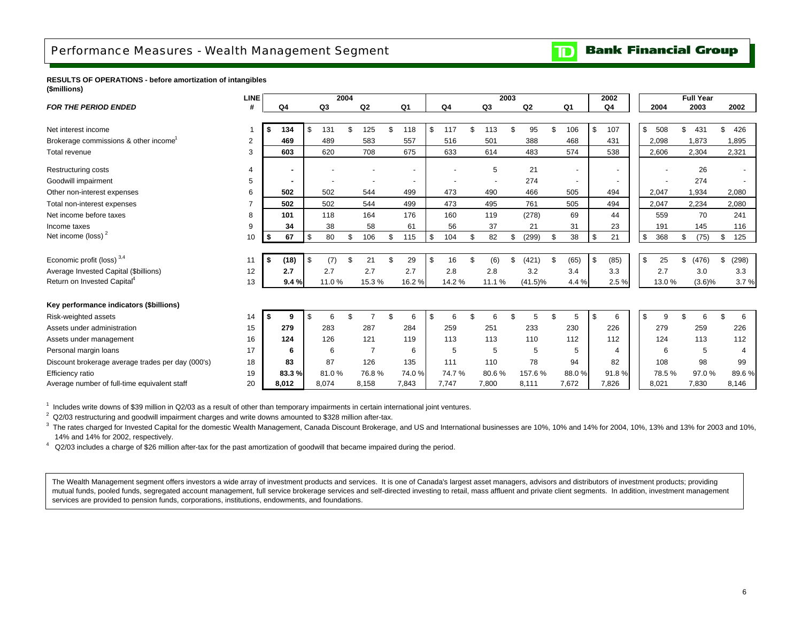### <span id="page-8-0"></span>Performance Measures - Wealth Management Segment

**Bank Financial Group**  $\mathbf{D}$ 

#### **RESULTS OF OPERATIONS - before amortization of intangibles (\$millions)**

|                                                   | <b>LINE</b> |            |           | 2004 |                |           |           |     |        | 2003 |            |                          | 2002                     |                           |       |    | <b>Full Year</b> |    |       |
|---------------------------------------------------|-------------|------------|-----------|------|----------------|-----------|-----------|-----|--------|------|------------|--------------------------|--------------------------|---------------------------|-------|----|------------------|----|-------|
| <b>FOR THE PERIOD ENDED</b>                       |             | Q4         | Q3        |      | Q <sub>2</sub> | Q1        | Q4        |     | Q3     |      | Q2         | Q1                       | Q4                       |                           | 2004  |    | 2003             |    | 2002  |
|                                                   |             |            |           |      |                |           |           |     |        |      |            |                          |                          |                           |       |    |                  |    |       |
| Net interest income                               |             | 134<br>\$  | 131       | \$   | 125            | \$<br>118 | \$<br>117 | \$. | 113    | \$   | 95         | \$<br>106                | \$<br>107                | \$                        | 508   | \$ | 431              | \$ | 426   |
| Brokerage commissions & other income <sup>1</sup> | 2           | 469        | 489       |      | 583            | 557       | 516       |     | 501    |      | 388        | 468                      | 431                      |                           | 2,098 |    | 1,873            |    | 1,895 |
| Total revenue                                     | 3           | 603        | 620       |      | 708            | 675       | 633       |     | 614    |      | 483        | 574                      | 538                      |                           | 2,606 |    | 2,304            |    | 2,321 |
| <b>Restructuring costs</b>                        | 4           |            |           |      |                |           |           |     | 5      |      | 21         | $\overline{\phantom{a}}$ | $\overline{\phantom{a}}$ |                           |       |    | 26               |    |       |
| Goodwill impairment                               | 5           |            |           |      |                |           |           |     |        |      | 274        | $\overline{\phantom{a}}$ |                          |                           |       |    | 274              |    |       |
| Other non-interest expenses                       | 6           | 502        | 502       |      | 544            | 499       | 473       |     | 490    |      | 466        | 505                      | 494                      |                           | 2,047 |    | 1,934            |    | 2,080 |
| Total non-interest expenses                       |             | 502        | 502       |      | 544            | 499       | 473       |     | 495    |      | 761        | 505                      | 494                      |                           | 2,047 |    | 2,234            |    | 2,080 |
| Net income before taxes                           | 8           | 101        | 118       |      | 164            | 176       | 160       |     | 119    |      | (278)      | 69                       | 44                       |                           | 559   |    | 70               |    | 241   |
| Income taxes                                      | 9           | 34         | 38        |      | 58             | 61        | 56        |     | 37     |      | 21         | 31                       | 23                       |                           | 191   |    | 145              |    | 116   |
| Net income (loss) $2$                             | 10          | 67<br>\$   | \$<br>80  | \$   | 106            | \$<br>115 | \$<br>104 | \$  | 82     | \$   | (299)      | \$<br>38                 | \$<br>21                 | $\boldsymbol{\mathsf{S}}$ | 368   | \$ | (75)             | \$ | 125   |
|                                                   |             |            |           |      |                |           |           |     |        |      |            |                          |                          |                           |       |    |                  |    |       |
| Economic profit (loss) $3,4$                      | 11          | \$<br>(18) | \$<br>(7) |      | 21             | \$<br>29  | \$<br>16  | \$  | (6)    | \$   | (421)      | \$<br>(65)               | \$<br>(85)               | \$                        | 25    | \$ | (476)            | \$ | (298) |
| Average Invested Capital (\$billions)             | 12          | 2.7        | 2.7       |      | 2.7            | 2.7       | 2.8       |     | 2.8    |      | 3.2        | 3.4                      | 3.3                      |                           | 2.7   |    | 3.0              |    | 3.3   |
| Return on Invested Capital <sup>4</sup>           | 13          | 9.4%       | 11.0%     |      | 15.3%          | 16.2%     | 14.2%     |     | 11.1 % |      | $(41.5)\%$ | 4.4 %                    | 2.5%                     |                           | 13.0% |    | (3.6)%           |    | 3.7%  |
|                                                   |             |            |           |      |                |           |           |     |        |      |            |                          |                          |                           |       |    |                  |    |       |
| Key performance indicators (\$billions)           |             |            |           |      |                |           |           |     |        |      |            |                          |                          |                           |       |    |                  |    |       |
| Risk-weighted assets                              | 14          | \$<br>9    | 6         | \$   |                | \$<br>6   | \$<br>6   | \$. |        | \$   | 5          | \$                       | \$<br>6                  | \$                        | 9     | ደ  | 6                | £. | 6     |
| Assets under administration                       | 15          | 279        | 283       |      | 287            | 284       | 259       |     | 251    |      | 233        | 230                      | 226                      |                           | 279   |    | 259              |    | 226   |
| Assets under management                           | 16          | 124        | 126       |      | 121            | 119       | 113       |     | 113    |      | 110        | 112                      | 112                      |                           | 124   |    | 113              |    | 112   |
| Personal margin loans                             | 17          | 6          | 6         |      | $\overline{7}$ | 6         | 5         |     | 5      |      | 5          | 5                        | $\overline{\mathcal{A}}$ |                           | 6     |    | 5                |    |       |
| Discount brokerage average trades per day (000's) | 18          | 83         | 87        |      | 126            | 135       | 111       |     | 110    |      | 78         | 94                       | 82                       |                           | 108   |    | 98               |    | 99    |
| Efficiency ratio                                  | 19          | 83.3%      | 81.0%     |      | 76.8%          | 74.0%     | 74.7%     |     | 80.6%  |      | 157.6%     | 88.0%                    | 91.8%                    |                           | 78.5% |    | 97.0%            |    | 89.6% |
| Average number of full-time equivalent staff      | 20          | 8,012      | 8,074     |      | 8,158          | 7,843     | 7,747     |     | 7,800  |      | 8,111      | 7,672                    | 7,826                    |                           | 8,021 |    | 7,830            |    | 8,146 |

 $1$  Includes write downs of \$39 million in Q2/03 as a result of other than temporary impairments in certain international joint ventures.

 $2$  Q2/03 restructuring and goodwill impairment charges and write downs amounted to \$328 million after-tax.

 $3$  The rates charged for Invested Capital for the domestic Wealth Management, Canada Discount Brokerage, and US and International businesses are 10%, 10% and 14% for 2004, 10%, 13% and 13% for 2003 and 10%, 14% and 14% for 2002, respectively.

4 Q2/03 includes a charge of \$26 million after-tax for the past amortization of goodwill that became impaired during the period.

The Wealth Management segment offers investors a wide array of investment products and services. It is one of Canada's largest asset managers, advisors and distributors of investment products; providing mutual funds, pooled funds, segregated account management, full service brokerage services and self-directed investing to retail, mass affluent and private client segments. In addition, investment management services are provided to pension funds, corporations, institutions, endowments, and foundations.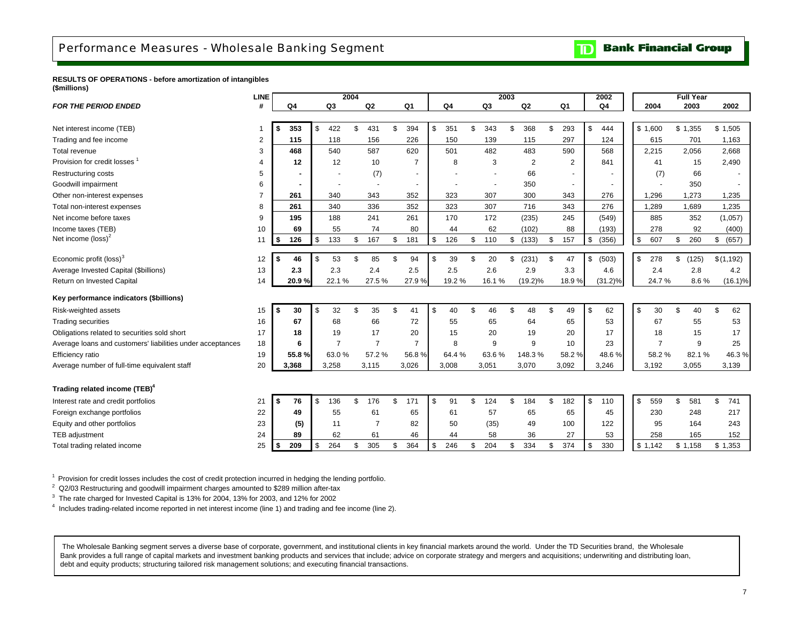**Bank Financial Group**  $\mathbf{D}$ 

<span id="page-9-0"></span>**RESULTS OF OPERATIONS - before amortization of intangibles (\$millions)**

|                                                            | <b>LINE</b> |                |           | 2004 |                |    |                |                |                | 2003 |            |           | 2002        |           | <b>Full Year</b> |             |
|------------------------------------------------------------|-------------|----------------|-----------|------|----------------|----|----------------|----------------|----------------|------|------------|-----------|-------------|-----------|------------------|-------------|
| <b>FOR THE PERIOD ENDED</b>                                | #           | Q <sub>4</sub> | Q3        |      | Q <sub>2</sub> |    | Q1             | Q <sub>4</sub> | Q <sub>3</sub> |      | Q2         | Q1        | Q4          | 2004      | 2003             | 2002        |
|                                                            |             |                |           |      |                |    |                |                |                |      |            |           |             |           |                  |             |
| Net interest income (TEB)                                  |             | 353<br>\$      | 422<br>\$ | \$   | 431            | \$ | 394            | \$<br>351      | \$<br>343      | \$   | 368        | \$<br>293 | \$<br>444   | \$1,600   | \$1,355          | \$1,505     |
| Trading and fee income                                     | 2           | 115            | 118       |      | 156            |    | 226            | 150            | 139            |      | 115        | 297       | 124         | 615       | 701              | 1,163       |
| Total revenue                                              | 3           | 468            | 540       |      | 587            |    | 620            | 501            | 482            |      | 483        | 590       | 568         | 2,215     | 2,056            | 2,668       |
| Provision for credit losses                                | 4           | 12             | 12        |      | 10             |    | $\overline{7}$ | 8              | 3              |      | 2          | 2         | 841         | 41        | 15               | 2,490       |
| <b>Restructuring costs</b>                                 | 5           | $\blacksquare$ |           |      | (7)            |    |                |                |                |      | 66         |           |             | (7)       | 66               |             |
| Goodwill impairment                                        | 6           |                |           |      |                |    | $\blacksquare$ |                |                |      | 350        |           |             |           | 350              |             |
| Other non-interest expenses                                | 7           | 261            | 340       |      | 343            |    | 352            | 323            | 307            |      | 300        | 343       | 276         | 1,296     | 1,273            | 1,235       |
| Total non-interest expenses                                | 8           | 261            | 340       |      | 336            |    | 352            | 323            | 307            |      | 716        | 343       | 276         | 1,289     | 1,689            | 1,235       |
| Net income before taxes                                    | 9           | 195            | 188       |      | 241            |    | 261            | 170            | 172            |      | (235)      | 245       | (549)       | 885       | 352              | (1,057)     |
| Income taxes (TEB)                                         | 10          | 69             | 55        |      | 74             |    | 80             | 44             | 62             |      | (102)      | 88        | (193)       | 278       | 92               | (400)       |
| Net income $(\text{loss})^2$                               | 11          | 126<br>-\$     | 133<br>\$ | \$   | 167            | \$ | 181            | \$<br>126      | \$<br>110      | \$   | (133)      | \$<br>157 | \$<br>(356) | 607<br>\$ | \$<br>260        | (657)<br>\$ |
|                                                            |             |                |           |      |                |    |                |                |                |      |            |           |             |           |                  |             |
| Economic profit (loss) <sup>3</sup>                        | 12          | 46<br>-S       | 53<br>\$  | \$   | 85             | \$ | 94             | \$<br>39       | \$<br>20       | \$   | (231)      | \$<br>47  | \$<br>(503) | \$<br>278 | \$<br>(125)      | \$(1,192)   |
| Average Invested Capital (\$billions)                      | 13          | 2.3            | 2.3       |      | 2.4            |    | 2.5            | 2.5            | 2.6            |      | 2.9        | 3.3       | 4.6         | 2.4       | 2.8              | 4.2         |
| Return on Invested Capital                                 | 14          | 20.9%          | 22.1%     |      | 27.5%          |    | 27.9%          | 19.2%          | 16.1%          |      | $(19.2)\%$ | 18.9%     | $(31.2)\%$  | 24.7%     | 8.6%             | $(16.1)\%$  |
| Key performance indicators (\$billions)                    |             |                |           |      |                |    |                |                |                |      |            |           |             |           |                  |             |
| Risk-weighted assets                                       | 15          | 30<br>Ŝ.       | \$<br>32  | £.   | 35             | \$ | 41             | \$<br>40       | \$<br>46       | \$   | 48         | \$<br>49  | \$<br>62    | \$<br>30  | \$<br>40         | \$<br>62    |
| <b>Trading securities</b>                                  | 16          | 67             | 68        |      | 66             |    | 72             | 55             | 65             |      | 64         | 65        | 53          | 67        | 55               | 53          |
| Obligations related to securities sold short               | 17          | 18             | 19        |      | 17             |    | 20             | 15             | 20             |      | 19         | 20        | 17          | 18        | 15               | 17          |
| Average loans and customers' liabilities under acceptances | 18          | 6              | 7         |      | $\overline{7}$ |    | $\overline{7}$ | 8              | 9              |      | 9          | 10        | 23          | 7         | 9                | 25          |
| Efficiency ratio                                           | 19          | 55.8%          | 63.0%     |      | 57.2%          |    | 56.8%          | 64.4%          | 63.6%          |      | 148.3%     | 58.2%     | 48.6%       | 58.2%     | 82.1%            | 46.3%       |
| Average number of full-time equivalent staff               | 20          | 3,368          | 3,258     |      | 3,115          |    | 3,026          | 3,008          | 3,051          |      | 3,070      | 3,092     | 3,246       | 3,192     | 3,055            | 3,139       |
|                                                            |             |                |           |      |                |    |                |                |                |      |            |           |             |           |                  |             |
| Trading related income (TEB) <sup>4</sup>                  |             |                |           |      |                |    |                |                |                |      |            |           |             |           |                  |             |
| Interest rate and credit portfolios                        | 21          | 76<br>Ŝ.       | 136<br>\$ | £.   | 176            | £. | 171            | \$<br>91       | \$<br>124      | \$   | 184        | \$<br>182 | \$<br>110   | \$<br>559 | \$<br>581        | \$<br>741   |
| Foreign exchange portfolios                                | 22          | 49             | 55        |      | 61             |    | 65             | 61             | 57             |      | 65         | 65        | 45          | 230       | 248              | 217         |
| Equity and other portfolios                                | 23          | (5)            | 11        |      | $\overline{7}$ |    | 82             | 50             | (35)           |      | 49         | 100       | 122         | 95        | 164              | 243         |
| TEB adjustment                                             | 24          | 89             | 62        |      | 61             |    | 46             | 44             | 58             |      | 36         | 27        | 53          | 258       | 165              | 152         |
| Total trading related income                               | 25          | 209<br>\$      | 264<br>\$ | \$   | 305            | \$ | 364            | \$<br>246      | \$<br>204      | \$   | 334        | \$<br>374 | \$<br>330   | \$1,142   | \$1,158          | \$1,353     |

<sup>1</sup> Provision for credit losses includes the cost of credit protection incurred in hedging the lending portfolio.

<sup>2</sup> Q2/03 Restructuring and goodwill impairment charges amounted to \$289 million after-tax

<sup>3</sup> The rate charged for Invested Capital is 13% for 2004, 13% for 2003, and 12% for 2002

4 Includes trading-related income reported in net interest income (line 1) and trading and fee income (line 2).

The Wholesale Banking segment serves a diverse base of corporate, government, and institutional clients in key financial markets around the world. Under the TD Securities brand, the Wholesale Bank provides a full range of capital markets and investment banking products and services that include; advice on corporate strategy and mergers and acquisitions; underwriting and distributing loan, debt and equity products; structuring tailored risk management solutions; and executing financial transactions.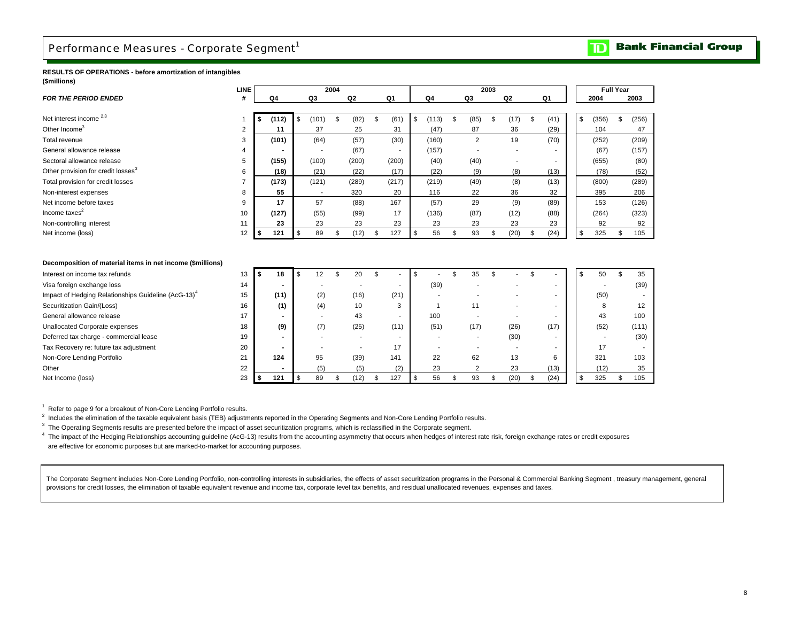## <span id="page-10-0"></span>Performance Measures - Corporate Segment<sup>1</sup>

#### **RESULTS OF OPERATIONS - before amortization of intangibles (\$millions)**

|                                                                 | <b>LINE</b> |    |                |          |                | 2004 |                |                          |                    |             |                | 2003 |                |            |                | <b>Full Year</b> |       |
|-----------------------------------------------------------------|-------------|----|----------------|----------|----------------|------|----------------|--------------------------|--------------------|-------------|----------------|------|----------------|------------|----------------|------------------|-------|
| <b>FOR THE PERIOD ENDED</b>                                     | #           |    | Q <sub>4</sub> |          | Q3             |      | Q <sub>2</sub> | Q1                       |                    | Q4          | Q3             |      | Q <sub>2</sub> | Q1         | 2004           |                  | 2003  |
|                                                                 |             |    |                |          |                |      |                |                          |                    |             |                |      |                |            |                |                  |       |
| Net interest income <sup>2,3</sup>                              |             | \$ | (112)          | \$       | (101)          | \$   | (82)           | \$<br>(61)               | \$                 | (113)       | \$<br>(85)     | \$   | (17)           | \$<br>(41) | \$<br>(356)    | \$               | (256) |
| Other Income <sup>3</sup>                                       | 2           |    | 11             |          | 37             |      | 25             | 31                       |                    | (47)        | 87             |      | 36             | (29)       | 104            |                  | 47    |
| Total revenue                                                   | 3           |    | (101)          |          | (64)           |      | (57)           | (30)                     |                    | (160)       | $\overline{2}$ |      | 19             | (70)       | (252)          |                  | (209) |
| General allowance release                                       | 4           |    |                |          |                |      | (67)           | $\overline{\phantom{a}}$ |                    | (157)       |                |      |                |            | (67)           |                  | (157) |
| Sectoral allowance release                                      | 5           |    | (155)          |          | (100)          |      | (200)          | (200)                    |                    | (40)        | (40)           |      |                |            | (655)          |                  | (80)  |
| Other provision for credit losses <sup>3</sup>                  | 6           |    | (18)           |          | (21)           |      | (22)           | (17)                     |                    | (22)        | (9)            |      | (8)            | (13)       | (78)           |                  | (52)  |
| Total provision for credit losses                               |             |    | (173)          |          | (121)          |      | (289)          | (217)                    |                    | (219)       | (49)           |      | (8)            | (13)       | (800)          |                  | (289) |
| Non-interest expenses                                           | 8           |    | 55             |          |                |      | 320            | 20                       |                    | 116         | 22             |      | 36             | 32         | 395            |                  | 206   |
| Net income before taxes                                         | 9           |    | 17             |          | 57             |      | (88)           | 167                      |                    | (57)        | 29             |      | (9)            | (89)       | 153            |                  | (126) |
| Income taxes <sup>2</sup>                                       | 10          |    | (127)          |          | (55)           |      | (99)           | 17                       |                    | (136)       | (87)           |      | (12)           | (88)       | (264)          |                  | (323) |
| Non-controlling interest                                        | 11          |    | 23             |          | 23             |      | 23             | 23                       |                    | 23          | 23             |      | 23             | 23         | 92             |                  | 92    |
| Net income (loss)                                               | 12          | \$ | 121            | \$       | 89             | \$   | (12)           | \$<br>127                | $\sqrt{3}$         | 56          | \$<br>93       | \$   | (20)           | \$<br>(24) | \$<br>325      | \$               | 105   |
|                                                                 |             |    |                |          |                |      |                |                          |                    |             |                |      |                |            |                |                  |       |
|                                                                 |             |    |                |          |                |      |                |                          |                    |             |                |      |                |            |                |                  |       |
| Decomposition of material items in net income (\$millions)      |             |    |                |          |                |      |                |                          |                    |             |                |      |                |            |                |                  |       |
| Interest on income tax refunds                                  | 13          | 5  | 18             | \$       | 12             | \$   | 20             | \$                       | $\mathbf{\hat{s}}$ |             | \$<br>35       | \$   |                | \$         | \$<br>50       | \$               | 35    |
| Visa foreign exchange loss                                      | 14          |    |                |          |                |      |                |                          |                    | (39)        |                |      |                |            |                |                  | (39)  |
| Impact of Hedging Relationships Guideline (AcG-13) <sup>4</sup> | 15          |    | (11)           |          | (2)            |      | (16)           | (21)                     |                    |             |                |      |                |            | (50)           |                  |       |
| Securitization Gain/(Loss)                                      | 16          |    | (1)            |          | (4)            |      | 10             | 3                        |                    | $\mathbf 1$ | 11             |      |                |            | 8              |                  | 12    |
| General allowance release                                       | 17          |    |                |          | $\blacksquare$ |      | 43             |                          |                    | 100         |                |      |                |            | 43             |                  | 100   |
| Unallocated Corporate expenses                                  | 18          |    | (9)            |          | (7)            |      | (25)           | (11)                     |                    | (51)        | (17)           |      | (26)           | (17)       | (52)           |                  | (111) |
| Deferred tax charge - commercial lease                          | 19          |    |                |          | $\blacksquare$ |      | ٠              |                          |                    |             |                |      | (30)           |            | $\blacksquare$ |                  | (30)  |
| Tax Recovery re: future tax adjustment                          | 20          |    |                |          |                |      |                | 17                       |                    |             |                |      |                |            | 17             |                  |       |
| Non-Core Lending Portfolio                                      | 21          |    | 124            |          | 95             |      | (39)           | 141                      |                    | 22          | 62             |      | 13             | 6          | 321            |                  | 103   |
| Other                                                           | 22          |    |                |          | (5)            |      | (5)            | (2)                      |                    | 23          | $\overline{2}$ |      | 23             | (13)       | (12)           |                  | 35    |
| Net Income (loss)                                               | 23          | \$ | 121            | <b>S</b> | 89             | \$   | (12)           | \$<br>127                | \$                 | 56          | \$<br>93       | \$   | (20)           | \$<br>(24) | \$<br>325      | \$               | 105   |

 $1$  Refer to page 9 for a breakout of Non-Core Lending Portfolio results.

2 Includes the elimination of the taxable equivalent basis (TEB) adjustments reported in the Operating Segments and Non-Core Lending Portfolio results.

<sup>3</sup> The Operating Segments results are presented before the impact of asset securitization programs, which is reclassified in the Corporate segment.

<sup>4</sup> The impact of the Hedging Relationships accounting guideline (AcG-13) results from the accounting asymmetry that occurs when hedges of interest rate risk, foreign exchange rates or credit exposures

are effective for economic purposes but are marked-to-market for accounting purposes.

The Corporate Segment includes Non-Core Lending Portfolio, non-controlling interests in subsidiaries, the effects of asset securitization programs in the Personal & Commercial Banking Segment , treasury management, general provisions for credit losses, the elimination of taxable equivalent revenue and income tax, corporate level tax benefits, and residual unallocated revenues, expenses and taxes.

## **TD** Bank Financial Group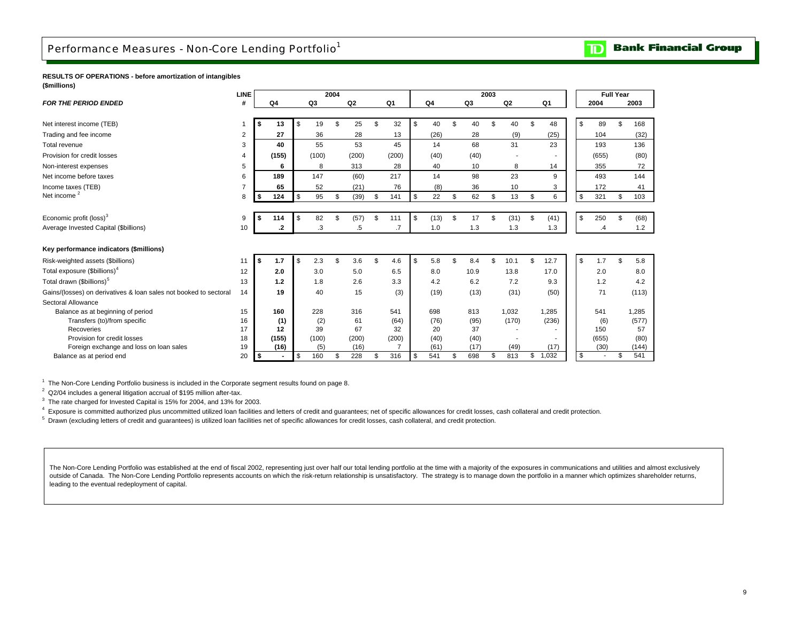### <span id="page-11-0"></span>Performance Measures - Non-Core Lending Portfolio<sup>1</sup>

**Bank Financial Group**  $\mathbf{D}$ 

**RESULTS OF OPERATIONS - before amortization of intangibles (\$millions)**

|                                                                   | <b>LINE</b> |     |                |           | 2004 |                |                |                |           | 2003 |                |             |           | <b>Full Year</b> |       |
|-------------------------------------------------------------------|-------------|-----|----------------|-----------|------|----------------|----------------|----------------|-----------|------|----------------|-------------|-----------|------------------|-------|
| <b>FOR THE PERIOD ENDED</b>                                       |             |     | Q <sub>4</sub> | Q3        |      | Q <sub>2</sub> | Q <sub>1</sub> | Q <sub>4</sub> | Q3        |      | Q <sub>2</sub> | Q1          | 2004      |                  | 2003  |
|                                                                   |             |     |                |           |      |                |                |                |           |      |                |             |           |                  |       |
| Net interest income (TEB)                                         |             | s.  | 13             | \$<br>19  | \$   | 25             | \$<br>32       | \$<br>40       | \$<br>40  | \$   | 40             | \$<br>48    | \$<br>89  | \$.              | 168   |
| Trading and fee income                                            | 2           |     | 27             | 36        |      | 28             | 13             | (26)           | 28        |      | (9)            | (25)        | 104       |                  | (32)  |
| Total revenue                                                     | 3           |     | 40             | 55        |      | 53             | 45             | 14             | 68        |      | 31             | 23          | 193       |                  | 136   |
| Provision for credit losses                                       |             |     | (155)          | (100)     |      | (200)          | (200)          | (40)           | (40)      |      |                |             | (655)     |                  | (80)  |
| Non-interest expenses                                             | 5           |     | 6              | 8         |      | 313            | 28             | 40             | 10        |      | 8              | 14          | 355       |                  | 72    |
| Net income before taxes                                           | 6           |     | 189            | 147       |      | (60)           | 217            | 14             | 98        |      | 23             | 9           | 493       |                  | 144   |
| Income taxes (TEB)                                                |             |     | 65             | 52        |      | (21)           | 76             | (8)            | 36        |      | 10             | 3           | 172       |                  | 41    |
| Net income <sup>2</sup>                                           | 8           | s   | 124            | \$<br>95  | \$   | (39)           | \$<br>141      | \$<br>22       | \$<br>62  | \$   | 13             | \$<br>6     | \$<br>321 | \$               | 103   |
|                                                                   |             |     |                |           |      |                |                |                |           |      |                |             |           |                  |       |
| Economic profit (loss) <sup>3</sup>                               | 9           | \$  | 114            | \$<br>82  | \$   | (57)           | \$<br>111      | \$<br>(13)     | \$<br>17  | \$   | (31)           | \$<br>(41)  | \$<br>250 | \$.              | (68)  |
| Average Invested Capital (\$billions)                             | 10          |     | .2             | .3        |      | .5             | .7             | 1.0            | 1.3       |      | 1.3            | 1.3         | $\cdot$   |                  | 1.2   |
|                                                                   |             |     |                |           |      |                |                |                |           |      |                |             |           |                  |       |
| Key performance indicators (\$millions)                           |             |     |                |           |      |                |                |                |           |      |                |             |           |                  |       |
| Risk-weighted assets (\$billions)                                 | 11          | \$  | 1.7            | \$<br>2.3 | ፍ    | 3.6            | \$<br>4.6      | \$<br>5.8      | \$<br>8.4 | \$   | 10.1           | \$<br>12.7  | \$<br>1.7 | \$.              | 5.8   |
| Total exposure (\$billions) <sup>4</sup>                          | 12          |     | 2.0            | 3.0       |      | 5.0            | 6.5            | 8.0            | 10.9      |      | 13.8           | 17.0        | 2.0       |                  | 8.0   |
| Total drawn (\$billions) <sup>5</sup>                             | 13          |     | 1.2            | 1.8       |      | 2.6            | 3.3            | 4.2            | 6.2       |      | 7.2            | 9.3         | 1.2       |                  | 4.2   |
| Gains/(losses) on derivatives & loan sales not booked to sectoral | 14          |     | 19             | 40        |      | 15             | (3)            | (19)           | (13)      |      | (31)           | (50)        | 71        |                  | (113) |
| Sectoral Allowance                                                |             |     |                |           |      |                |                |                |           |      |                |             |           |                  |       |
| Balance as at beginning of period                                 | 15          |     | 160            | 228       |      | 316            | 541            | 698            | 813       |      | 1,032          | 1,285       | 541       |                  | 1,285 |
| Transfers (to)/from specific                                      | 16          |     | (1)            | (2)       |      | 61             | (64)           | (76)           | (95)      |      | (170)          | (236)       | (6)       |                  | (577) |
| Recoveries                                                        | 17          |     | 12             | 39        |      | 67             | 32             | 20             | 37        |      |                |             | 150       |                  | 57    |
| Provision for credit losses                                       | 18          |     | (155)          | (100)     |      | (200)          | (200)          | (40)           | (40)      |      |                |             | (655)     |                  | (80)  |
| Foreign exchange and loss on loan sales                           | 19          |     | (16)           | (5)       |      | (16)           |                | (61)           | (17)      |      | (49)           | (17)        | (30)      |                  | (144) |
| Balance as at period end                                          | 20          | -\$ |                | \$<br>160 | \$   | 228            | \$<br>316      | \$<br>541      | \$<br>698 | \$   | 813            | \$<br>1,032 | \$        | \$               | 541   |

<sup>1</sup> The Non-Core Lending Portfolio business is included in the Corporate segment results found on page 8.

<sup>2</sup> Q2/04 includes a general litigation accrual of \$195 million after-tax.

<sup>3</sup> The rate charged for Invested Capital is 15% for 2004, and 13% for 2003.

4 Exposure is committed authorized plus uncommitted utilized loan facilities and letters of credit and guarantees; net of specific allowances for credit losses, cash collateral and credit protection.

<sup>5</sup> Drawn (excluding letters of credit and guarantees) is utilized loan facilities net of specific allowances for credit losses, cash collateral, and credit protection.

The Non-Core Lending Portfolio was established at the end of fiscal 2002, representing just over half our total lending portfolio at the time with a majority of the exposures in communications and utilities and almost excl outside of Canada. The Non-Core Lending Portfolio represents accounts on which the risk-return relationship is unsatisfactory. The strategy is to manage down the portfolio in a manner which optimizes shareholder returns, leading to the eventual redeployment of capital.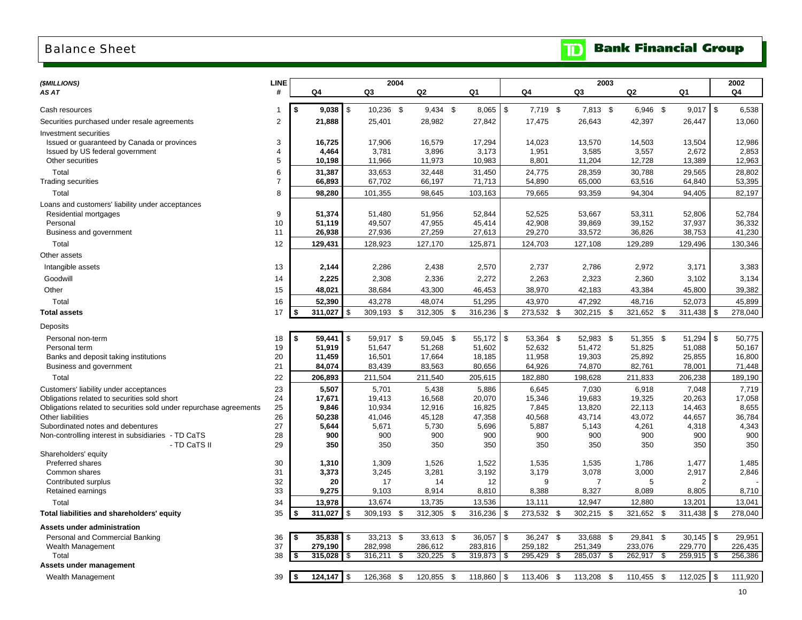### <span id="page-12-0"></span>Balance Sheet

| (\$MILLIONS)                                                       | <b>LINE</b>         |                  |              | 2004             |      |                  |      |                  |     |                  | 2003             |      |                  |      |                  |      | 2002             |
|--------------------------------------------------------------------|---------------------|------------------|--------------|------------------|------|------------------|------|------------------|-----|------------------|------------------|------|------------------|------|------------------|------|------------------|
| AS AT                                                              | #                   | Q4               |              | Q3               |      | Q2               |      | Q1               |     | Q4               | Q3               |      | Q2               |      | Q1               |      | Q4               |
|                                                                    |                     |                  |              |                  |      |                  |      |                  |     |                  |                  |      |                  |      |                  |      |                  |
| Cash resources                                                     |                     | \$<br>$9,038$ \$ |              | 10,236 \$        |      | $9,434$ \$       |      | 8,065            | \$  | 7,719 \$         | 7,813 \$         |      | $6,946$ \$       |      | $9,017$ \$       |      | 6,538            |
| Securities purchased under resale agreements                       | $\overline{2}$      | 21,888           |              | 25,401           |      | 28,982           |      | 27,842           |     | 17,475           | 26,643           |      | 42,397           |      | 26,447           |      | 13,060           |
| Investment securities                                              |                     |                  |              |                  |      |                  |      |                  |     |                  |                  |      |                  |      |                  |      |                  |
| Issued or guaranteed by Canada or provinces                        | 3                   | 16,725           |              | 17,906           |      | 16,579           |      | 17,294           |     | 14,023           | 13,570           |      | 14,503           |      | 13,504           |      | 12,986           |
| Issued by US federal government<br>Other securities                | $\overline{4}$<br>5 | 4,464<br>10,198  |              | 3,781<br>11,966  |      | 3,896<br>11,973  |      | 3,173<br>10,983  |     | 1,951<br>8,801   | 3,585<br>11,204  |      | 3,557<br>12,728  |      | 2,672<br>13,389  |      | 2,853<br>12,963  |
|                                                                    |                     |                  |              |                  |      |                  |      |                  |     |                  |                  |      |                  |      |                  |      |                  |
| Total<br><b>Trading securities</b>                                 | 6<br>$\overline{7}$ | 31,387<br>66,893 |              | 33,653<br>67,702 |      | 32,448<br>66,197 |      | 31,450<br>71,713 |     | 24,775<br>54,890 | 28,359<br>65,000 |      | 30,788<br>63,516 |      | 29,565<br>64,840 |      | 28,802<br>53,395 |
|                                                                    | 8                   |                  |              |                  |      |                  |      |                  |     |                  |                  |      |                  |      |                  |      |                  |
| Total                                                              |                     | 98,280           |              | 101,355          |      | 98,645           |      | 103,163          |     | 79,665           | 93,359           |      | 94,304           |      | 94,405           |      | 82,197           |
| Loans and customers' liability under acceptances                   |                     | 51,374           |              | 51,480           |      | 51,956           |      | 52,844           |     | 52,525           | 53,667           |      |                  |      | 52,806           |      | 52,784           |
| Residential mortgages<br>Personal                                  | 9<br>10             | 51,119           |              | 49,507           |      | 47,955           |      | 45,414           |     | 42,908           | 39,869           |      | 53,311<br>39,152 |      | 37,937           |      | 36,332           |
| Business and government                                            | 11                  | 26,938           |              | 27,936           |      | 27,259           |      | 27,613           |     | 29,270           | 33,572           |      | 36,826           |      | 38,753           |      | 41,230           |
| Total                                                              | 12                  | 129,431          |              | 128,923          |      | 127,170          |      | 125,871          |     | 124,703          | 127,108          |      | 129,289          |      | 129,496          |      | 130,346          |
| Other assets                                                       |                     |                  |              |                  |      |                  |      |                  |     |                  |                  |      |                  |      |                  |      |                  |
| Intangible assets                                                  | 13                  | 2,144            |              | 2,286            |      | 2,438            |      | 2,570            |     | 2,737            | 2,786            |      | 2,972            |      | 3,171            |      | 3,383            |
|                                                                    |                     |                  |              |                  |      |                  |      |                  |     |                  |                  |      |                  |      |                  |      |                  |
| Goodwill                                                           | 14                  | 2,225            |              | 2,308            |      | 2,336            |      | 2,272            |     | 2,263            | 2,323            |      | 2,360            |      | 3,102            |      | 3,134            |
| Other                                                              | 15                  | 48,021           |              | 38,684           |      | 43,300           |      | 46,453           |     | 38,970           | 42,183           |      | 43,384           |      | 45,800           |      | 39,382           |
| Total                                                              | 16                  | 52,390           |              | 43,278           |      | 48,074           |      | 51,295           |     | 43,970           | 47,292           |      | 48,716           |      | 52,073           |      | 45,899           |
| <b>Total assets</b>                                                | 17                  | \$<br>311,027    | \$           | 309,193          | \$   | 312,305          | \$   | 316,236          | \$  | 273,532          | \$<br>302,215 \$ |      | 321,652          | - \$ | 311,438          | l \$ | 278,040          |
| Deposits                                                           |                     |                  |              |                  |      |                  |      |                  |     |                  |                  |      |                  |      |                  |      |                  |
| Personal non-term                                                  | 18                  | \$<br>59,441     | $\,$         | 59,917 \$        |      | 59,045 \$        |      | 55,172           | \$  | 53,364 \$        | 52,983 \$        |      | 51,355 \$        |      | 51,294           | \$   | 50,775           |
| Personal term                                                      | 19                  | 51,919           |              | 51,647           |      | 51,268           |      | 51,602           |     | 52,632           | 51,472           |      | 51,825           |      | 51,088           |      | 50,167           |
| Banks and deposit taking institutions                              | 20                  | 11,459           |              | 16,501           |      | 17,664           |      | 18,185           |     | 11,958           | 19,303           |      | 25,892           |      | 25,855           |      | 16,800           |
| Business and government                                            | 21                  | 84,074           |              | 83,439           |      | 83,563           |      | 80,656           |     | 64,926           | 74,870           |      | 82,761           |      | 78,001           |      | 71,448           |
| Total                                                              | 22                  | 206,893          |              | 211,504          |      | 211,540          |      | 205,615          |     | 182,880          | 198,628          |      | 211,833          |      | 206,238          |      | 189,190          |
| Customers' liability under acceptances                             | 23                  | 5,507            |              | 5,701            |      | 5,438            |      | 5,886            |     | 6,645            | 7,030            |      | 6,918            |      | 7,048            |      | 7,719            |
| Obligations related to securities sold short                       | 24                  | 17,671           |              | 19,413           |      | 16,568           |      | 20,070           |     | 15,346           | 19,683           |      | 19,325           |      | 20,263           |      | 17,058           |
| Obligations related to securities sold under repurchase agreements | 25                  | 9,846            |              | 10,934           |      | 12,916           |      | 16,825           |     | 7,845            | 13,820           |      | 22,113           |      | 14,463           |      | 8,655            |
| Other liabilities<br>Subordinated notes and debentures             | 26<br>27            | 50,238<br>5,644  |              | 41,046<br>5,671  |      | 45,128<br>5,730  |      | 47,358<br>5,696  |     | 40,568<br>5,887  | 43,714<br>5,143  |      | 43,072<br>4,261  |      | 44,657<br>4,318  |      | 36,784           |
| Non-controlling interest in subsidiaries - TD CaTS                 | 28                  | 900              |              | 900              |      | 900              |      | 900              |     | 900              | 900              |      | 900              |      | 900              |      | 4,343<br>900     |
| - TD CaTS II                                                       | 29                  | 350              |              | 350              |      | 350              |      | 350              |     | 350              | 350              |      | 350              |      | 350              |      | 350              |
| Shareholders' equity                                               |                     |                  |              |                  |      |                  |      |                  |     |                  |                  |      |                  |      |                  |      |                  |
| Preferred shares                                                   | 30                  | 1,310            |              | 1,309            |      | 1,526            |      | 1,522            |     | 1,535            | 1,535            |      | 1,786            |      | 1,477            |      | 1,485            |
| Common shares                                                      | 31                  | 3,373            |              | 3,245            |      | 3,281            |      | 3,192            |     | 3,179            | 3,078            |      | 3,000            |      | 2,917            |      | 2,846            |
| Contributed surplus                                                | 32                  | 20               |              | 17               |      | 14               |      | 12               |     | 9                | 7                |      | 5                |      | $\mathcal{P}$    |      |                  |
| Retained earnings                                                  | 33                  | 9,275            |              | 9,103            |      | 8,914            |      | 8,810            |     | 8,388            | 8,327            |      | 8,089            |      | 8,805            |      | 8,710            |
| Total                                                              | 34                  | 13,978           |              | 13,674           |      | 13,735           |      | 13,536           |     | 13,111           | 12,947           |      | 12,880           |      | 13,201           |      | 13,041           |
| Total liabilities and shareholders' equity                         | 35                  | \$<br>311,027    | \$           | 309,193          | -\$  | 312,305          | - \$ | 316,236          | \$  | 273,532          | \$<br>302,215    | -\$  | 321,652          | \$   | 311,438          |      | 278,040          |
| Assets under administration                                        |                     |                  |              |                  |      |                  |      |                  |     |                  |                  |      |                  |      |                  |      |                  |
| Personal and Commercial Banking                                    | 36                  | \$<br>35,838     | $\sqrt{3}$   | 33,213 \$        |      | 33,613 \$        |      | 36,057           | \$  | 36,247 \$        | 33,688           | -\$  | 29,841           | \$   | 30,145           | l \$ | 29,951           |
| Wealth Management                                                  | 37                  | 279,190          |              | 282,998          |      | 286,612          |      | 283,816          |     | 259,182          | 251,349          |      | 233,076          |      | 229,770          |      | 226,435          |
| Total                                                              | 38                  | \$<br>315,028    | <b>S</b>     | 316,211          | \$   | 320,225          | - \$ | 319,873          | \$  | 295,429          | \$<br>285,037    | \$   | 262,917 \$       |      | 259,915          | l \$ | 256,386          |
| Assets under management                                            |                     |                  |              |                  |      |                  |      |                  |     |                  |                  |      |                  |      |                  |      |                  |
| Wealth Management                                                  | 39                  | \$<br>124,147    | $\mathsf{s}$ | 126,368          | - \$ | 120,855 \$       |      | 118,860          | -\$ | 113,406 \$       | 113,208          | - \$ | 110,455 \$       |      | 112,025          | l \$ | 111,920          |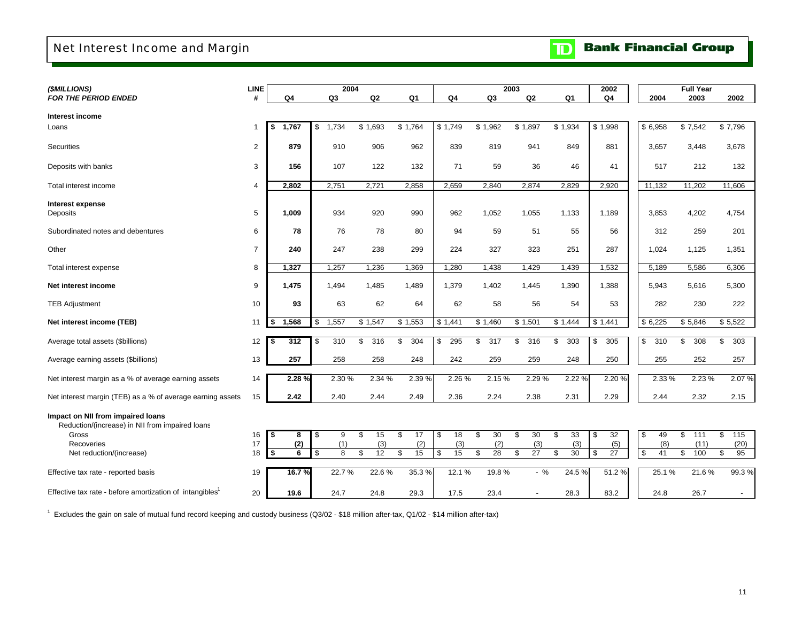## <span id="page-13-0"></span>Net Interest Income and Margin

|  |  | <b>TD</b> Bank Financial Group |  |
|--|--|--------------------------------|--|
|--|--|--------------------------------|--|

| (\$MILLIONS)                                                         | <b>LINE</b>    |             |                          | 2004      |                |           |                | 2003                  |                | 2002      |           | <b>Full Year</b>       |                          |
|----------------------------------------------------------------------|----------------|-------------|--------------------------|-----------|----------------|-----------|----------------|-----------------------|----------------|-----------|-----------|------------------------|--------------------------|
| <b>FOR THE PERIOD ENDED</b>                                          | #              | Q4          | Q <sub>3</sub>           | Q2        | Q <sub>1</sub> | Q4        | Q <sub>3</sub> | Q <sub>2</sub>        | Q <sub>1</sub> | Q4        | 2004      | 2003                   | 2002                     |
|                                                                      |                |             |                          |           |                |           |                |                       |                |           |           |                        |                          |
| Interest income                                                      |                |             |                          |           |                |           |                |                       |                |           |           |                        |                          |
| Loans                                                                | 1              | 1.767<br>\$ | \$<br>1,734              | \$1.693   | \$1,764        | \$1.749   | \$1,962        | \$1,897               | \$1,934        | \$1,998   | \$6,958   | \$7,542                | \$7,796                  |
| Securities                                                           | $\overline{2}$ | 879         | 910                      | 906       | 962            | 839       | 819            | 941                   | 849            | 881       | 3,657     | 3,448                  | 3,678                    |
|                                                                      |                |             |                          |           |                |           |                |                       |                |           |           |                        |                          |
| Deposits with banks                                                  | 3              | 156         | 107                      | 122       | 132            | 71        | 59             | 36                    | 46             | 41        | 517       | 212                    | 132                      |
|                                                                      | $\overline{4}$ |             |                          | 2,721     |                | 2,659     | 2,840          | 2,874                 | 2,829          | 2,920     | 11,132    |                        | 11,606                   |
| Total interest income                                                |                | 2,802       | 2,751                    |           | 2,858          |           |                |                       |                |           |           | 11,202                 |                          |
| Interest expense                                                     |                |             |                          |           |                |           |                |                       |                |           |           |                        |                          |
| Deposits                                                             | 5              | 1,009       | 934                      | 920       | 990            | 962       | 1,052          | 1,055                 | 1,133          | 1.189     | 3,853     | 4,202                  | 4,754                    |
| Subordinated notes and debentures                                    | 6              | 78          | 76                       | 78        | 80             | 94        | 59             | 51                    | 55             | 56        | 312       | 259                    | 201                      |
|                                                                      |                |             |                          |           |                |           |                |                       |                |           |           |                        |                          |
| Other                                                                | $\overline{7}$ | 240         | 247                      | 238       | 299            | 224       | 327            | 323                   | 251            | 287       | 1,024     | 1,125                  | 1,351                    |
| Total interest expense                                               | 8              | 1,327       | 1,257                    | 1,236     | 1,369          | 1,280     | 1,438          | 1,429                 | 1,439          | 1,532     | 5,189     | 5,586                  | 6,306                    |
| Net interest income                                                  | 9              | 1,475       | 1,494                    | 1,485     | 1,489          | 1,379     | 1,402          | 1,445                 | 1,390          | 1,388     | 5,943     | 5,616                  | 5,300                    |
|                                                                      | 10             |             | 63                       |           |                |           |                |                       |                |           |           |                        |                          |
| <b>TEB Adjustment</b>                                                |                | 93          |                          | 62        | 64             | 62        | 58             | 56                    | 54             | 53        | 282       | 230                    | 222                      |
| Net interest income (TEB)                                            | 11             | 1,568       | 1,557<br>\$              | \$1,547   | \$1,553        | \$1,441   | \$1,460        | \$1,501               | \$1,444        | \$1,441   | \$6,225   | \$5,846                | \$5,522                  |
|                                                                      |                |             |                          |           |                |           |                |                       |                |           |           |                        |                          |
| Average total assets (\$billions)                                    | 12             | 312<br>- \$ | $\overline{310}$<br>- \$ | 316<br>\$ | 304<br>\$      | 295<br>\$ | \$<br>317      | 316<br>\$             | 303<br>\$      | 305<br>\$ | \$<br>310 | \$<br>$\overline{308}$ | 303<br>\$                |
| Average earning assets (\$billions)                                  | 13             | 257         | 258                      | 258       | 248            | 242       | 259            | 259                   | 248            | 250       | 255       | 252                    | 257                      |
| Net interest margin as a % of average earning assets                 | 14             | 2.28%       | 2.30 %                   | 2.34 %    | 2.39 %         | 2.26 %    | 2.15%          | 2.29 %                | 2.22 %         | 2.20 %    | 2.33%     | 2.23%                  | 2.07%                    |
|                                                                      |                |             |                          |           |                |           |                |                       |                |           |           |                        |                          |
| Net interest margin (TEB) as a % of average earning assets           | 15             | 2.42        | 2.40                     | 2.44      | 2.49           | 2.36      | 2.24           | 2.38                  | 2.31           | 2.29      | 2.44      | 2.32                   | 2.15                     |
| Impact on NII from impaired loans                                    |                |             |                          |           |                |           |                |                       |                |           |           |                        |                          |
| Reduction/(increase) in NII from impaired loans                      |                |             |                          |           |                |           |                |                       |                |           |           |                        |                          |
| Gross                                                                | 16             | \$<br>8     | <b>S</b><br>9            | \$<br>15  | \$<br>17       | 18<br>\$  | \$<br>30       | \$<br>30              | 33<br>\$       | 32<br>\$  | 49<br>\$  | \$<br>111              | \$<br>115                |
| Recoveries                                                           | 17             | (2)         | (1)                      | (3)       | (2)            | (3)       | (2)            | (3)                   | (3)            | (5)       | (8)       | (11)                   | (20)                     |
| Net reduction/(increase)                                             | 18             | \$<br>6     | 8<br>\$                  | 12<br>\$  | 15<br>\$       | 15<br>\$  | 28<br>\$       | $\overline{27}$<br>\$ | 30<br>\$       | 27<br>Ŝ.  | 41<br>\$  | \$<br>100              | \$<br>95                 |
|                                                                      |                |             |                          |           |                |           |                |                       |                |           |           |                        |                          |
| Effective tax rate - reported basis                                  | 19             | 16.7%       | 22.7%                    | 22.6%     | 35.3%          | 12.1%     | 19.8%          | $-$ %                 | 24.5 %         | 51.2%     | 25.1%     | 21.6%                  | 99.3%                    |
| Effective tax rate - before amortization of intangibles <sup>1</sup> | 20             | 19.6        | 24.7                     | 24.8      | 29.3           | 17.5      | 23.4           |                       | 28.3           | 83.2      | 24.8      | 26.7                   | $\overline{\phantom{a}}$ |

1 Excludes the gain on sale of mutual fund record keeping and custody business (Q3/02 - \$18 million after-tax, Q1/02 - \$14 million after-tax)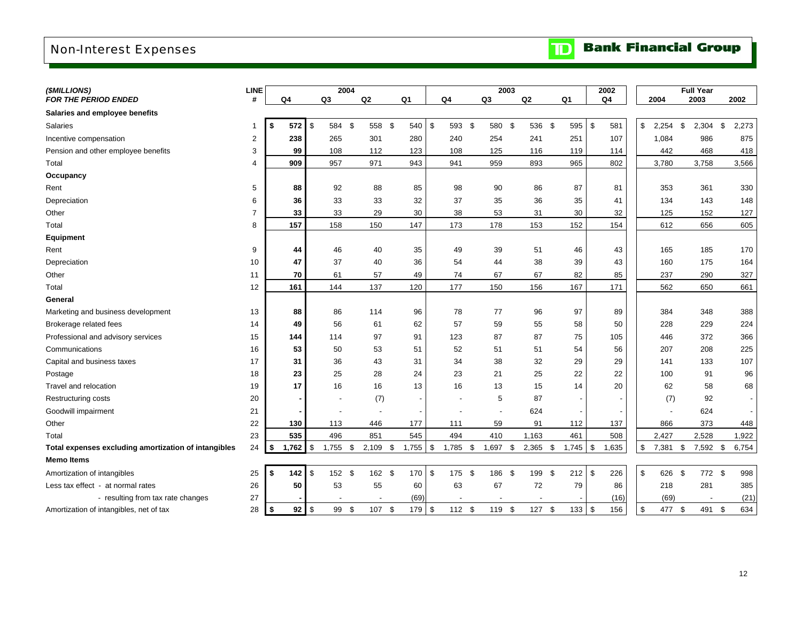## <span id="page-14-0"></span>Non-Interest Expenses

| <b>TD</b> Bank Financial Group |  |
|--------------------------------|--|
|--------------------------------|--|

| (\$MILLIONS)                                         | <b>LINE</b>             |             |                | 2004           |     |            |                |            |          | 2003              |    |           |                |       | 2002                |                  | <b>Full Year</b> |             |
|------------------------------------------------------|-------------------------|-------------|----------------|----------------|-----|------------|----------------|------------|----------|-------------------|----|-----------|----------------|-------|---------------------|------------------|------------------|-------------|
| <b>FOR THE PERIOD ENDED</b>                          | #                       | Q4          |                | Q <sub>3</sub> |     | Q2         | Q <sub>1</sub> |            | Q4       | Q <sub>3</sub>    | Q2 |           | Q <sub>1</sub> |       | Q4                  | 2004             | 2003             | 2002        |
| Salaries and employee benefits                       |                         |             |                |                |     |            |                |            |          |                   |    |           |                |       |                     |                  |                  |             |
| Salaries                                             | 1                       | 572<br>\$   | \$             | 584            | \$  | 558 \$     |                | 540 \$     | 593 \$   | 580 \$            |    | 536       | - \$           | 595   | \$<br>581           | \$<br>$2,254$ \$ | 2,304            | \$<br>2,273 |
| Incentive compensation                               | $\overline{\mathbf{c}}$ | 238         |                | 265            |     | 301        | 280            |            | 240      | 254               |    | 241       |                | 251   | 107                 | 1,084            | 986              | 875         |
| Pension and other employee benefits                  | 3                       | 99          |                | 108            |     | 112        | 123            |            | 108      | 125               |    | 116       |                | 119   | 114                 | 442              | 468              | 418         |
| Total                                                | 4                       | 909         |                | 957            |     | 971        | 943            |            | 941      | 959               |    | 893       |                | 965   | 802                 | 3,780            | 3,758            | 3,566       |
| Occupancy                                            |                         |             |                |                |     |            |                |            |          |                   |    |           |                |       |                     |                  |                  |             |
| Rent                                                 | 5                       | 88          |                | 92             |     | 88         | 85             |            | 98       | 90                |    | 86        |                | 87    | 81                  | 353              | 361              | 330         |
| Depreciation                                         | 6                       | 36          |                | 33             |     | 33         |                | 32         | 37       | 35                |    | 36        |                | 35    | 41                  | 134              | 143              | 148         |
| Other                                                | $\overline{7}$          | 33          |                | 33             |     | 29         | 30             |            | 38       | 53                |    | 31        |                | 30    | 32                  | 125              | 152              | 127         |
| Total                                                | 8                       | 157         |                | 158            |     | 150        | 147            |            | 173      | 178               |    | 153       |                | 152   | 154                 | 612              | 656              | 605         |
| Equipment                                            |                         |             |                |                |     |            |                |            |          |                   |    |           |                |       |                     |                  |                  |             |
| Rent                                                 | 9                       | 44          |                | 46             |     | 40         | 35             |            | 49       | 39                |    | 51        |                | 46    | 43                  | 165              | 185              | 170         |
| Depreciation                                         | 10                      | 47          |                | 37             |     | 40         |                | 36         | 54       | 44                |    | 38        |                | 39    | 43                  | 160              | 175              | 164         |
| Other                                                | 11                      | 70          |                | 61             |     | 57         |                | 49         | 74       | 67                |    | 67        |                | 82    | 85                  | 237              | 290              | 327         |
| Total                                                | 12                      | 161         |                | 144            |     | 137        | 120            |            | 177      | 150               |    | 156       |                | 167   | 171                 | 562              | 650              | 661         |
| General                                              |                         |             |                |                |     |            |                |            |          |                   |    |           |                |       |                     |                  |                  |             |
| Marketing and business development                   | 13                      | 88          |                | 86             |     | 114        | 96             |            | 78       | 77                |    | 96        |                | 97    | 89                  | 384              | 348              | 388         |
| Brokerage related fees                               | 14                      | 49          |                | 56             |     | 61         | 62             |            | 57       | 59                |    | 55        |                | 58    | 50                  | 228              | 229              | 224         |
| Professional and advisory services                   | 15                      | 144         |                | 114            |     | 97         | 91             |            | 123      | 87                |    | 87        |                | 75    | 105                 | 446              | 372              | 366         |
| Communications                                       | 16                      | 53          |                | 50             |     | 53         | 51             |            | 52       | 51                |    | 51        |                | 54    | 56                  | 207              | 208              | 225         |
| Capital and business taxes                           | 17                      | 31          |                | 36             |     | 43         | 31             |            | 34       | 38                |    | 32        |                | 29    | 29                  | 141              | 133              | 107         |
| Postage                                              | 18                      | 23          |                | 25             |     | 28         |                | 24         | 23       | 21                |    | 25        |                | 22    | 22                  | 100              | 91               | 96          |
| Travel and relocation                                | 19                      | 17          |                | 16             |     | 16         | 13             |            | 16       | 13                |    | 15        |                | 14    | 20                  | 62               | 58               | 68          |
| Restructuring costs                                  | 20                      |             |                |                |     | (7)        |                |            |          | 5                 |    | 87        |                |       |                     | (7)              | 92               |             |
| Goodwill impairment                                  | 21                      |             |                |                |     |            |                |            |          |                   |    | 624       |                |       |                     |                  | 624              |             |
| Other                                                | 22                      | 130         |                | 113            |     | 446        | 177            |            | 111      | 59                |    | 91        |                | 112   | 137                 | 866              | 373              | 448         |
| Total                                                | 23                      | 535         |                | 496            |     | 851        | 545            |            | 494      | 410               |    | 1,163     |                | 461   | 508                 | 2,427            | 2,528            | 1,922       |
| Total expenses excluding amortization of intangibles | 24                      | 1,762<br>\$ | \$             | 1,755          | \$  | $2,109$ \$ |                | $1,755$ \$ | 1,785 \$ | 1,697             | \$ | 2,365     | \$             | 1,745 | 1,635<br>$\sqrt{3}$ | \$<br>7,381      | \$<br>7,592 \$   | 6,754       |
| <b>Memo Items</b>                                    |                         |             |                |                |     |            |                |            |          |                   |    |           |                |       |                     |                  |                  |             |
| Amortization of intangibles                          | 25                      | 142<br>\$   | $\mathfrak{S}$ | 152 \$         |     | 162 \$     |                | 170S       | 175 \$   | 186               | \$ | 199       | \$             | 212   | \$<br>226           | \$<br>626 \$     | 772 \$           | 998         |
| Less tax effect - at normal rates                    | 26                      | 50          |                | 53             |     | 55         | 60             |            | 63       | 67                |    | 72        |                | 79    | 86                  | 218              | 281              | 385         |
| - resulting from tax rate changes                    | 27                      |             |                |                |     |            |                | (69)       |          |                   |    |           |                |       | (16)                | (69)             |                  | (21)        |
| Amortization of intangibles, net of tax              | 28                      | 92<br>-\$   | $\sqrt{3}$     | 99             | -\$ | 107 \$     |                | 179 \$     | 112S     | 119<br>$\sqrt{3}$ |    | $127 - $$ |                | 133   | \$<br>156           | \$<br>477 \$     | 491              | \$<br>634   |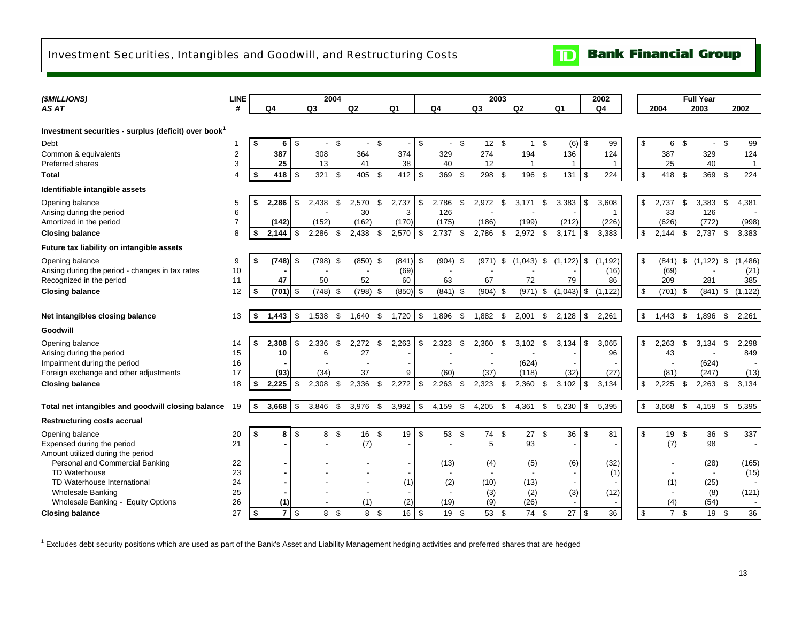## <span id="page-15-0"></span>Investment Securities, Intangibles and Goodwill, and Restructuring Costs



**Bank Financial Group** 

| (\$MILLIONS)                                                     | <b>LINE</b>    |    |                  |               | 2004           |      |                          |      |                |               |                |      | 2003                     |      |           |      |                |          | 2002         |                      |      | <b>Full Year</b>         |      |                |
|------------------------------------------------------------------|----------------|----|------------------|---------------|----------------|------|--------------------------|------|----------------|---------------|----------------|------|--------------------------|------|-----------|------|----------------|----------|--------------|----------------------|------|--------------------------|------|----------------|
| AS AT                                                            | #              |    | Q4               |               | Q <sub>3</sub> |      | Q <sub>2</sub>           |      | Q <sub>1</sub> |               | Q <sub>4</sub> |      | Q <sub>3</sub>           |      | Q2        |      | Q <sub>1</sub> |          | Q4           | 2004                 |      | 2003                     |      | 2002           |
|                                                                  |                |    |                  |               |                |      |                          |      |                |               |                |      |                          |      |           |      |                |          |              |                      |      |                          |      |                |
| Investment securities - surplus (deficit) over book <sup>1</sup> |                |    |                  |               |                |      |                          |      |                |               |                |      |                          |      |           |      |                |          |              |                      |      |                          |      |                |
| Debt                                                             | 1              | \$ | 6                | \$            |                | \$   | $\overline{\phantom{a}}$ | \$   |                | \$            | $\blacksquare$ | \$   | $12 \quad$               |      | $1 \quad$ |      | $(6)$ \$       |          | 99           | \$<br>6              | - \$ | $\blacksquare$           | - \$ | 99             |
| Common & equivalents                                             | 2              |    | 387              |               | 308            |      | 364                      |      | 374            |               | 329            |      | 274                      |      | 194       |      | 136            |          | 124          | 387                  |      | 329                      |      | 124            |
| Preferred shares                                                 | 3              |    | 25               |               | 13             |      | 41                       |      | 38             |               | 40             |      | 12                       |      |           |      |                |          | $\mathbf{1}$ | 25                   |      | 40                       |      | $\overline{1}$ |
| <b>Total</b>                                                     | 4              | \$ | $418$ $\sqrt{5}$ |               | 321            | \$   | 405                      | \$   | 412            | -\$           | 369            | - \$ | 298 \$                   |      | 196       | - \$ | 131            | <b>S</b> | 224          | \$<br>418 \$         |      | 369 \$                   |      | 224            |
| Identifiable intangible assets                                   |                |    |                  |               |                |      |                          |      |                |               |                |      |                          |      |           |      |                |          |              |                      |      |                          |      |                |
| Opening balance                                                  | 5              | S  | 2,286            | \$            | 2,438          | \$   | 2,570                    | \$   | 2,737          | \$            | 2,786          | \$   | 2,972                    | -S   | 3,171     | \$   | 3,383          | \$       | 3,608        | \$<br>2,737          | -\$  | 3,383                    | -\$  | 4,381          |
| Arising during the period                                        | 6              |    |                  |               |                |      | 30                       |      | 3              |               | 126            |      |                          |      |           |      |                |          |              | 33                   |      | 126                      |      |                |
| Amortized in the period                                          | $\overline{7}$ |    | (142)            |               | (152)          |      | (162)                    |      | (170)          |               | (175)          |      | (186)                    |      | (199)     |      | (212)          |          | (226)        | (626)                |      | (772)                    |      | (998)          |
| <b>Closing balance</b>                                           | 8              | S  | 2,144            | \$            | 2,286          | - \$ | 2,438                    | \$   | 2,570          | $\sqrt[6]{3}$ | 2,737          | -\$  | 2,786                    | -\$  | 2,972     | \$   | 3,171          | \$       | 3,383        | \$<br>$2,144$ \$     |      | 2,737                    | \$   | 3,383          |
| Future tax liability on intangible assets                        |                |    |                  |               |                |      |                          |      |                |               |                |      |                          |      |           |      |                |          |              |                      |      |                          |      |                |
| Opening balance                                                  | 9              | S  | (748)            | -S            | $(798)$ \$     |      | (850)                    | - \$ | $(841)$ \$     |               | $(904)$ \$     |      | (971)                    | \$   | (1,043)   | \$   | (1, 122)       | l \$     | (1, 192)     | \$<br>$(841)$ \$     |      | (1, 122)                 | \$   | (1, 486)       |
| Arising during the period - changes in tax rates                 | 10             |    |                  |               |                |      |                          |      | (69)           |               |                |      |                          |      |           |      |                |          | (16)         | (69)                 |      |                          |      | (21)           |
| Recognized in the period                                         | 11             |    | 47               |               | 50             |      | 52                       |      | 60             |               | 63             |      | 67                       |      | 72        |      | 79             |          | 86           | 209                  |      | 281                      |      | 385            |
| <b>Closing balance</b>                                           | 12             | S  | $(701)$ \$       |               | $(748)$ \$     |      | $(798)$ \$               |      | $(850)$ \$     |               | $(841)$ \$     |      | $(904)$ \$               |      | (971)     | \$   | $(1,043)$ \$   |          | (1, 122)     | \$<br>$(701)$ \$     |      | $(841)$ \$               |      | (1, 122)       |
|                                                                  |                |    |                  |               |                |      |                          |      |                |               |                |      |                          |      |           |      |                |          |              |                      |      |                          |      |                |
| Net intangibles closing balance                                  | 13             | \$ | 1,443            | $\mathfrak s$ | 1,538          | \$   | 1,640                    | \$   | 1,720          | $\sqrt{3}$    | 1,896          | -\$  | $1,882$ \$               |      | 2,001     | \$   | 2,128          | \$       | 2,261        | \$<br>1,443          | \$   | 1,896 \$                 |      | 2,261          |
| Goodwill                                                         |                |    |                  |               |                |      |                          |      |                |               |                |      |                          |      |           |      |                |          |              |                      |      |                          |      |                |
| Opening balance                                                  | 14             | \$ | 2,308            | \$            | 2.336          | £.   | 2,272                    | \$   | 2,263          | \$            | 2,323          | \$   | 2,360                    | ዳ    | 3,102     | \$.  | 3,134          | \$       | 3,065        | \$<br>2,263          | -S   | 3.134                    | ደ    | 2,298          |
| Arising during the period                                        | 15             |    | 10               |               | 6              |      | 27                       |      |                |               |                |      |                          |      |           |      |                |          | 96           | 43                   |      |                          |      | 849            |
| Impairment during the period                                     | 16             |    |                  |               |                |      |                          |      |                |               |                |      | $\overline{\phantom{a}}$ |      | (624)     |      |                |          |              |                      |      | (624)                    |      |                |
| Foreign exchange and other adjustments                           | 17             |    | (93)             |               | (34)           |      | 37                       |      | 9              |               | (60)           |      | (37)                     |      | (118)     |      | (32)           |          | (27)         | (81)                 |      | (247)                    |      | (13)           |
| <b>Closing balance</b>                                           | 18             |    | 2,225            | \$            | 2,308          | \$   | 2,336                    | \$   | 2,272          | <b>S</b>      | 2,263          | - \$ | $2,323$ \$               |      | 2,360     | \$   | 3,102          | <b>S</b> | 3,134        | \$<br>2,225          | - \$ | $2,263$ \$               |      | 3,134          |
|                                                                  |                |    |                  |               |                |      |                          |      |                |               |                |      |                          |      |           |      |                |          |              |                      |      |                          |      |                |
| Total net intangibles and goodwill closing balance               | 19             | \$ | 3,668            | $\sqrt{3}$    | 3,846          | -\$  | 3,976                    | \$   | 3,992          | $\sqrt{3}$    | 4,159          | -\$  | 4,205                    | -S   | 4,361     | \$   | 5,230          | <b>S</b> | 5,395        | \$<br>3,668          | \$   | 4,159                    | - \$ | 5,395          |
| <b>Restructuring costs accrual</b>                               |                |    |                  |               |                |      |                          |      |                |               |                |      |                          |      |           |      |                |          |              |                      |      |                          |      |                |
| Opening balance                                                  | 20             | S  | 8                | \$            | 8              | - \$ | 16                       | -\$  | 19             | <b>S</b>      | 53             | - \$ | 74                       | - \$ | 27        | \$   | 36             | <b>S</b> | 81           | \$<br>19             | - \$ | 36                       | \$   | 337            |
| Expensed during the period                                       | 21             |    |                  |               |                |      | (7)                      |      |                |               | ٠              |      | 5                        |      | 93        |      |                |          |              | (7)                  |      | 98                       |      |                |
| Amount utilized during the period                                |                |    |                  |               |                |      |                          |      |                |               |                |      |                          |      |           |      |                |          |              |                      |      |                          |      |                |
| Personal and Commercial Banking                                  | 22             |    |                  |               |                |      |                          |      |                |               | (13)           |      | (4)                      |      | (5)       |      | (6)            |          | (32)         |                      |      | (28)                     |      | (165)          |
| <b>TD Waterhouse</b>                                             | 23             |    |                  |               |                |      |                          |      |                |               | $\blacksquare$ |      |                          |      |           |      |                |          | (1)          |                      |      | $\overline{\phantom{a}}$ |      | (15)           |
| TD Waterhouse International                                      | 24             |    |                  |               |                |      |                          |      | (1)            |               | (2)            |      | (10)                     |      | (13)      |      |                |          |              | (1)                  |      | (25)                     |      |                |
| <b>Wholesale Banking</b>                                         | 25             |    |                  |               |                |      |                          |      |                |               | $\blacksquare$ |      | (3)                      |      | (2)       |      | (3)            |          | (12)         |                      |      | (8)                      |      | (121)          |
| Wholesale Banking - Equity Options                               | 26             |    |                  |               |                |      | (1)                      |      | (2)            |               | (19)           |      | (9)                      |      | (26)      |      |                |          |              | (4)                  |      | (54)                     |      |                |
| <b>Closing balance</b>                                           | 27             | \$ | 7 <sup>1</sup>   | $\mathbb{S}$  | 8 \$           |      | 8                        | -\$  | 16             | l \$          | 19             | -\$  | 53                       | - \$ | 74        | - \$ | 27             | l \$     | 36           | \$<br>$\overline{7}$ | -\$  | 19 \$                    |      | 36             |

 $1$  Excludes debt security positions which are used as part of the Bank's Asset and Liability Management hedging activities and preferred shares that are hedged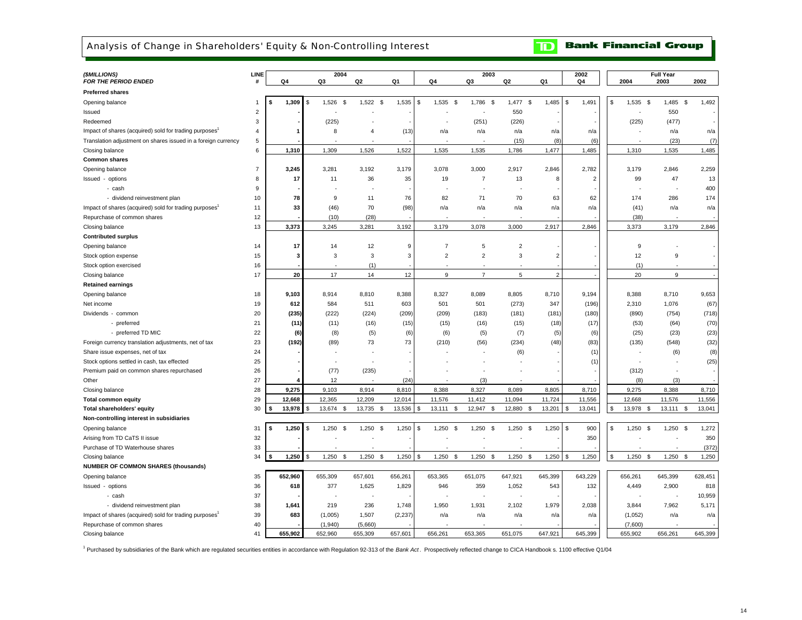### <span id="page-16-0"></span>Analysis of Change in Shareholders' Equity & Non-Controlling Interest

**Bank Financial Group**  $\mathbf{D}$ 

| (\$MILLIONS)                                                                                                                            | LINE                 |                         | 2004                                 |                                    |                              |                          | 2003                    |                         |                         | 2002                    |                                        | <b>Full Year</b>        |                         |
|-----------------------------------------------------------------------------------------------------------------------------------------|----------------------|-------------------------|--------------------------------------|------------------------------------|------------------------------|--------------------------|-------------------------|-------------------------|-------------------------|-------------------------|----------------------------------------|-------------------------|-------------------------|
| <b>FOR THE PERIOD ENDED</b>                                                                                                             | #                    | Q4                      | Q3                                   | Q2                                 | Q1                           | Q4                       | Q3                      | Q2                      | Q1                      | Q4                      | 2004                                   | 2003                    | 2002                    |
| <b>Preferred shares</b>                                                                                                                 |                      |                         |                                      |                                    |                              |                          |                         |                         |                         |                         |                                        |                         |                         |
| Opening balance                                                                                                                         | $\overline{1}$       | 1,309<br>\$             | 1,526<br>- \$<br>\$                  | $1,522$ \$                         | 1,535                        | 1,535<br>\$<br>S         | 1,786<br>\$             | $1,477$ \$              | 1,485                   | 1,491<br>\$             | \$<br>1,535<br>\$                      | 1,485<br><b>S</b>       | 1,492                   |
| Issued                                                                                                                                  | $\overline{2}$       |                         |                                      |                                    |                              |                          |                         | 550                     |                         |                         |                                        | 550                     |                         |
| Redeemed                                                                                                                                | 3                    |                         | (225)                                |                                    |                              |                          | (251)                   | (226)                   |                         |                         | (225)                                  | (477)                   |                         |
| Impact of shares (acquired) sold for trading purposes                                                                                   | $\overline{4}$       |                         | 8                                    | $\overline{4}$                     | (13)                         | n/a                      | n/a                     | n/a                     | n/a                     | n/a                     |                                        | n/a                     | n/a                     |
| Translation adjustment on shares issued in a foreign currency                                                                           | 5                    |                         |                                      |                                    |                              |                          |                         | (15)                    | (8)                     | (6)                     |                                        | (23)                    | (7)                     |
| Closing balance                                                                                                                         | 6                    | 1,310                   | 1,309                                | 1,526                              | 1,522                        | 1,535                    | 1,535                   | 1,786                   | 1,477                   | 1,485                   | 1,310                                  | 1,535                   | 1,485                   |
| <b>Common shares</b>                                                                                                                    |                      |                         |                                      |                                    |                              |                          |                         |                         |                         |                         |                                        |                         |                         |
| Opening balance                                                                                                                         | $\overline{7}$       | 3,245                   | 3,281                                | 3,192                              | 3,179                        | 3,078                    | 3,000                   | 2,917                   | 2,846                   | 2,782                   | 3,179                                  | 2,846                   | 2,259                   |
| Issued - options                                                                                                                        | 8                    | 17                      | 11                                   | 36                                 | 35                           | 19                       | $\overline{7}$          | 13                      | -8                      | $\overline{2}$          | 99                                     | 47                      | 13                      |
| - cash                                                                                                                                  | 9                    |                         |                                      |                                    |                              |                          |                         | ÷,                      |                         |                         |                                        | ÷,                      | 400                     |
| - dividend reinvestment plan                                                                                                            | 10                   | 78                      | 9                                    | 11                                 | 76                           | 82                       | 71                      | 70                      | 63                      | 62                      | 174                                    | 286                     | 174                     |
| Impact of shares (acquired) sold for trading purposes                                                                                   | 11                   | 33                      | (46)                                 | 70                                 | (98)                         | n/a                      | n/a                     | n/a                     | n/a                     | n/a                     | (41)                                   | n/a                     | n/a                     |
| Repurchase of common shares                                                                                                             | 12                   |                         | (10)                                 | (28)                               |                              |                          |                         |                         |                         |                         | (38)                                   |                         |                         |
| Closing balance                                                                                                                         | 13                   | 3,373                   | 3,245                                | 3,281                              | 3,192                        | 3,179                    | 3,078                   | 3,000                   | 2,917                   | 2,846                   | 3,373                                  | 3,179                   | 2,846                   |
| <b>Contributed surplus</b>                                                                                                              |                      |                         |                                      |                                    |                              |                          |                         |                         |                         |                         |                                        |                         |                         |
| Opening balance                                                                                                                         | 14                   | 17                      | 14                                   | 12                                 | 9                            | $\overline{7}$           | 5                       | $\overline{2}$          |                         |                         | 9                                      |                         |                         |
| Stock option expense                                                                                                                    | 15                   | 3                       | 3                                    | 3                                  | 3                            | $\overline{2}$           | $\overline{c}$          | 3                       | $\overline{2}$          |                         | 12                                     | $\boldsymbol{9}$        |                         |
| Stock option exercised                                                                                                                  | 16                   |                         |                                      | (1)                                |                              |                          |                         |                         |                         |                         | (1)                                    |                         |                         |
| Closing balance                                                                                                                         | 17                   | 20                      | 17                                   | 14                                 | 12                           | 9                        | $\overline{7}$          | 5                       | $\overline{2}$          |                         | 20                                     | 9                       |                         |
| <b>Retained earnings</b>                                                                                                                |                      |                         |                                      |                                    |                              |                          |                         |                         |                         |                         |                                        |                         |                         |
| Opening balance                                                                                                                         | 18                   | 9,103                   | 8,914                                | 8,810                              | 8,388                        | 8,327                    | 8,089                   | 8,805                   | 8,710                   | 9,194                   | 8,388                                  | 8,710                   | 9,653                   |
| Net income                                                                                                                              | 19                   | 612                     | 584                                  | 511                                | 603                          | 501                      | 501                     | (273)                   | 347                     | (196)                   | 2,310                                  | 1,076                   | (67)                    |
| Dividends - common                                                                                                                      | 20                   | (235)                   | (222)                                | (224)                              | (209)                        | (209)                    | (183)                   | (181)                   | (181)                   | (180)                   | (890)                                  | (754)                   | (718)                   |
| - preferred                                                                                                                             | 21                   | (11)                    | (11)                                 | (16)                               | (15)                         | (15)                     | (16)                    | (15)                    | (18)                    | (17)                    | (53)                                   | (64)                    | (70)                    |
| - preferred TD MIC                                                                                                                      | 22                   | (6)                     | (8)                                  | (5)                                | (6)                          | (6)                      | (5)                     | (7)                     | (5)                     | (6)                     | (25)                                   | (23)                    | (23)                    |
| Foreign currency translation adjustments, net of tax                                                                                    | 23                   | (192)                   | (89)                                 | 73                                 | 73                           | (210)                    | (56)                    | (234)                   | (48)                    | (83)                    | (135)                                  | (548)                   | (32)                    |
| Share issue expenses, net of tax                                                                                                        | 24                   |                         |                                      |                                    |                              |                          |                         | (6)                     |                         | (1)                     |                                        | (6)                     | (8)                     |
| Stock options settled in cash, tax effected                                                                                             | 25                   |                         |                                      |                                    |                              |                          |                         |                         |                         | (1)                     |                                        |                         | (25)                    |
| Premium paid on common shares repurchased                                                                                               | 26                   |                         | (77)                                 | (235)                              |                              |                          |                         |                         |                         |                         | (312)                                  |                         |                         |
| Other                                                                                                                                   | 27                   |                         | 12                                   |                                    | (24)                         |                          | (3)                     |                         |                         |                         | (8)                                    | (3)                     |                         |
| Closing balance                                                                                                                         | 28                   | 9,275                   | 9,103                                | 8,914                              | 8,810                        | 8,388                    | 8,327                   | 8,089                   | 8,805                   | 8,710                   | 9,275                                  | 8,388                   | 8,710                   |
| <b>Total common equity</b>                                                                                                              | 29                   | 12,668                  | 12,365                               | 12,209                             | 12,014                       | 11,576                   | 11,412                  | 11,094                  | 11,724                  | 11,556                  | 12,668                                 | 11,576                  | 11,556                  |
| Total shareholders' equity                                                                                                              | 30                   | 13,978                  | \$<br>13,674<br>-S                   | 13,735                             | <b>S</b><br>13,536           | \$<br>13,111<br><b>S</b> | 12,947<br>-S            | 12,880<br>- \$          | 13,201                  | 13,041<br>\$.           | \$<br>13,978 \$                        | 13,111<br>-S            | 13,041                  |
| Non-controlling interest in subsidiaries                                                                                                |                      |                         |                                      |                                    |                              |                          |                         |                         |                         |                         |                                        |                         |                         |
| Opening balance                                                                                                                         | 31                   | 1,250<br>\$             | 1,250<br>-S<br>\$                    | 1,250<br>-S                        | 1,250                        | 1,250<br>\$<br><b>S</b>  | 1,250<br>-S             | 1,250<br>-S             | 1,250                   | 900<br>-S               | 1,250<br>s.<br>- \$                    | 1,250<br>\$             | 1,272                   |
| Arising from TD CaTS II issue                                                                                                           | 32                   |                         |                                      |                                    |                              |                          |                         |                         |                         | 350                     |                                        |                         | 350                     |
| Purchase of TD Waterhouse shares                                                                                                        | 33                   |                         |                                      |                                    |                              |                          |                         |                         |                         |                         |                                        |                         | (372)                   |
| Closing balance                                                                                                                         | 34                   | 1,250                   | 1,250<br>\$<br>S.                    | 1,250                              | 1,250<br>\$                  | 1,250<br>\$<br>\$        | 1,250<br>-\$            | 1,250<br>\$             | 1,250                   | 1,250<br>\$.            | 1,250<br>- \$                          | $\mathbb S$<br>1,250    | 1,250                   |
| <b>NUMBER OF COMMON SHARES (thousands)</b>                                                                                              |                      |                         |                                      |                                    |                              |                          |                         |                         |                         |                         |                                        |                         |                         |
| Opening balance                                                                                                                         | 35                   | 652,960                 | 655,309                              | 657,601                            | 656,261                      | 653,365                  | 651,075                 | 647,921                 | 645,399                 | 643,229                 | 656,261                                | 645,399                 | 628,451                 |
|                                                                                                                                         | 36                   | 618                     | 377                                  | 1,625                              | 1,829                        | 946                      | 359                     | 1,052                   | 543                     | 132                     |                                        | 2,900                   | 818                     |
| Issued - options                                                                                                                        | 37                   |                         |                                      | $\overline{\phantom{a}}$           |                              |                          |                         | ٠                       |                         |                         | 4,449                                  |                         | 10,959                  |
| - cash                                                                                                                                  |                      |                         |                                      |                                    |                              |                          |                         |                         |                         |                         |                                        |                         |                         |
|                                                                                                                                         |                      |                         |                                      |                                    |                              |                          |                         |                         |                         |                         |                                        |                         |                         |
|                                                                                                                                         |                      |                         |                                      |                                    |                              |                          |                         |                         |                         |                         |                                        |                         |                         |
|                                                                                                                                         |                      |                         |                                      |                                    |                              |                          |                         |                         |                         |                         |                                        |                         |                         |
| - dividend reinvestment plan<br>Impact of shares (acquired) sold for trading purposes<br>Repurchase of common shares<br>Closing balance | 38<br>39<br>40<br>41 | 1,641<br>683<br>655.902 | 219<br>(1,005)<br>(1,940)<br>652,960 | 236<br>1,507<br>(5,660)<br>655.309 | 1,748<br>(2, 237)<br>657.601 | 1,950<br>n/a<br>656.261  | 1,931<br>n/a<br>653.365 | 2,102<br>n/a<br>651.075 | 1,979<br>n/a<br>647.921 | 2,038<br>n/a<br>645.399 | 3,844<br>(1,052)<br>(7,600)<br>655,902 | 7,962<br>n/a<br>656.261 | 5,171<br>n/a<br>645,399 |

1 Purchased by subsidiaries of the Bank which are regulated securities entities in accordance with Regulation 92-313 of the *Bank Act* . Prospectively reflected change to CICA Handbook s. 1100 effective Q1/04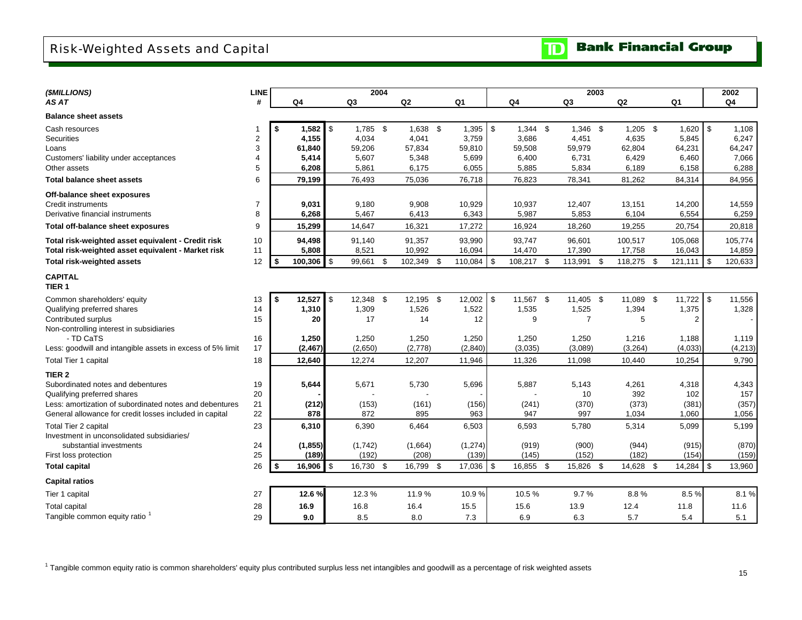## <span id="page-17-0"></span>Risk-Weighted Assets and Capital

| (\$MILLIONS)                                               | <b>LINE</b>    |               |                |           | 2004 |            |          |                  | 2003           |               |      |                | 2002           |
|------------------------------------------------------------|----------------|---------------|----------------|-----------|------|------------|----------|------------------|----------------|---------------|------|----------------|----------------|
| AS AT                                                      | #              | Q4            |                | Q3        |      | Q2         | Q1       | Q4               | Q <sub>3</sub> | Q2            |      | Q <sub>1</sub> | Q <sub>4</sub> |
| <b>Balance sheet assets</b>                                |                |               |                |           |      |            |          |                  |                |               |      |                |                |
| Cash resources                                             |                | 1,582         | $\mathbf{s}$   | 1,785 \$  |      | 1,638 \$   | 1,395    | \$<br>$1,344$ \$ | 1,346 \$       | $1,205$ \$    |      | $1,620$ \$     | 1,108          |
| <b>Securities</b>                                          | $\overline{c}$ | 4,155         |                | 4,034     |      | 4,041      | 3,759    | 3,686            | 4,451          | 4,635         |      | 5,845          | 6,247          |
| Loans                                                      | 3              | 61.840        |                | 59,206    |      | 57,834     | 59,810   | 59,508           | 59,979         | 62,804        |      | 64,231         | 64,247         |
| Customers' liability under acceptances                     | $\overline{4}$ | 5,414         |                | 5,607     |      | 5,348      | 5,699    | 6,400            | 6,731          | 6,429         |      | 6,460          | 7,066          |
| Other assets                                               | 5              | 6,208         |                | 5,861     |      | 6,175      | 6,055    | 5,885            | 5,834          | 6,189         |      | 6,158          | 6,288          |
| <b>Total balance sheet assets</b>                          | 6              | 79,199        |                | 76,493    |      | 75,036     | 76,718   | 76,823           | 78,341         | 81,262        |      | 84,314         | 84,956         |
| Off-balance sheet exposures                                |                |               |                |           |      |            |          |                  |                |               |      |                |                |
| <b>Credit instruments</b>                                  | $\overline{7}$ | 9,031         |                | 9,180     |      | 9,908      | 10,929   | 10,937           | 12,407         | 13,151        |      | 14,200         | 14,559         |
| Derivative financial instruments                           | 8              | 6,268         |                | 5,467     |      | 6,413      | 6,343    | 5,987            | 5,853          | 6,104         |      | 6,554          | 6,259          |
| Total off-balance sheet exposures                          | 9              | 15,299        |                | 14,647    |      | 16,321     | 17,272   | 16,924           | 18,260         | 19,255        |      | 20,754         | 20,818         |
| Total risk-weighted asset equivalent - Credit risk         | 10             | 94,498        |                | 91,140    |      | 91,357     | 93,990   | 93,747           | 96,601         | 100,517       |      | 105,068        | 105,774        |
| Total risk-weighted asset equivalent - Market risk         | 11             | 5,808         |                | 8,521     |      | 10,992     | 16,094   | 14,470           | 17,390         | 17,758        |      | 16,043         | 14,859         |
| Total risk-weighted assets                                 | 12             | \$<br>100,306 | $\mathbf{\$}$  | 99,661    | \$   | 102,349 \$ | 110,084  | \$<br>108,217 \$ | 113,991        | \$<br>118,275 | - \$ | $121,111$ \ \$ | 120,633        |
| <b>CAPITAL</b><br>TIER <sub>1</sub>                        |                |               |                |           |      |            |          |                  |                |               |      |                |                |
| Common shareholders' equity                                | 13             | \$<br>12,527  | $\mathfrak{S}$ | 12,348 \$ |      | 12,195 \$  | 12,002   | \$<br>11,567 \$  | 11,405 \$      | 11,089 \$     |      | $11,722$ \$    | 11,556         |
| Qualifying preferred shares                                | 14             | 1,310         |                | 1,309     |      | 1,526      | 1,522    | 1,535            | 1,525          | 1,394         |      | 1,375          | 1,328          |
| Contributed surplus                                        | 15             | 20            |                | 17        |      | 14         | 12       | 9                | $\overline{7}$ | 5             |      | 2              |                |
| Non-controlling interest in subsidiaries                   |                |               |                |           |      |            |          |                  |                |               |      |                |                |
| - TD CaTS                                                  | 16             | 1,250         |                | 1,250     |      | 1,250      | 1,250    | 1,250            | 1,250          | 1,216         |      | 1,188          | 1,119          |
| Less: goodwill and intangible assets in excess of 5% limit | 17             | (2, 467)      |                | (2,650)   |      | (2,778)    | (2,840)  | (3,035)          | (3,089)        | (3, 264)      |      | (4,033)        | (4,213)        |
| Total Tier 1 capital                                       | 18             | 12,640        |                | 12,274    |      | 12,207     | 11,946   | 11,326           | 11,098         | 10,440        |      | 10,254         | 9,790          |
| TIER <sub>2</sub>                                          |                |               |                |           |      |            |          |                  |                |               |      |                |                |
| Subordinated notes and debentures                          | 19             | 5,644         |                | 5,671     |      | 5,730      | 5,696    | 5,887            | 5,143          | 4,261         |      | 4,318          | 4,343          |
| Qualifying preferred shares                                | 20             |               |                |           |      |            |          |                  | 10             | 392           |      | 102            | 157            |
| Less: amortization of subordinated notes and debentures    | 21             | (212)         |                | (153)     |      | (161)      | (156)    | (241)            | (370)          | (373)         |      | (381)          | (357)          |
| General allowance for credit losses included in capital    | 22             | 878           |                | 872       |      | 895        | 963      | 947              | 997            | 1,034         |      | 1,060          | 1,056          |
| Total Tier 2 capital                                       | 23             | 6,310         |                | 6,390     |      | 6,464      | 6,503    | 6,593            | 5,780          | 5,314         |      | 5,099          | 5,199          |
| Investment in unconsolidated subsidiaries/                 |                |               |                |           |      |            |          |                  |                |               |      |                |                |
| substantial investments                                    | 24             | (1, 855)      |                | (1,742)   |      | (1,664)    | (1, 274) | (919)            | (900)          | (944)         |      | (915)          | (870)          |
| First loss protection                                      | 25             | (189)         |                | (192)     |      | (208)      | (139)    | (145)            | (152)          | (182)         |      | (154)          | (159)          |
| <b>Total capital</b>                                       | 26             | \$<br>16.906  | $\sqrt{3}$     | 16,730 \$ |      | 16,799 \$  | 17,036   | \$<br>16,855 \$  | 15,826 \$      | 14,628 \$     |      | $14,284$ \ \$  | 13,960         |
| <b>Capital ratios</b>                                      |                |               |                |           |      |            |          |                  |                |               |      |                |                |
| Tier 1 capital                                             | 27             | 12.6%         |                | 12.3 %    |      | 11.9%      | 10.9%    | 10.5%            | 9.7%           | 8.8%          |      | 8.5%           | 8.1%           |
| <b>Total capital</b>                                       | 28             | 16.9          |                | 16.8      |      | 16.4       | 15.5     | 15.6             | 13.9           | 12.4          |      | 11.8           | 11.6           |
| Tangible common equity ratio <sup>1</sup>                  | 29             | 9.0           |                | 8.5       |      | 8.0        | 7.3      | 6.9              | 6.3            | 5.7           |      | 5.4            | 5.1            |

<sup>1</sup> Tangible common equity ratio is common shareholders' equity plus contributed surplus less net intangibles and goodwill as a percentage of risk weighted assets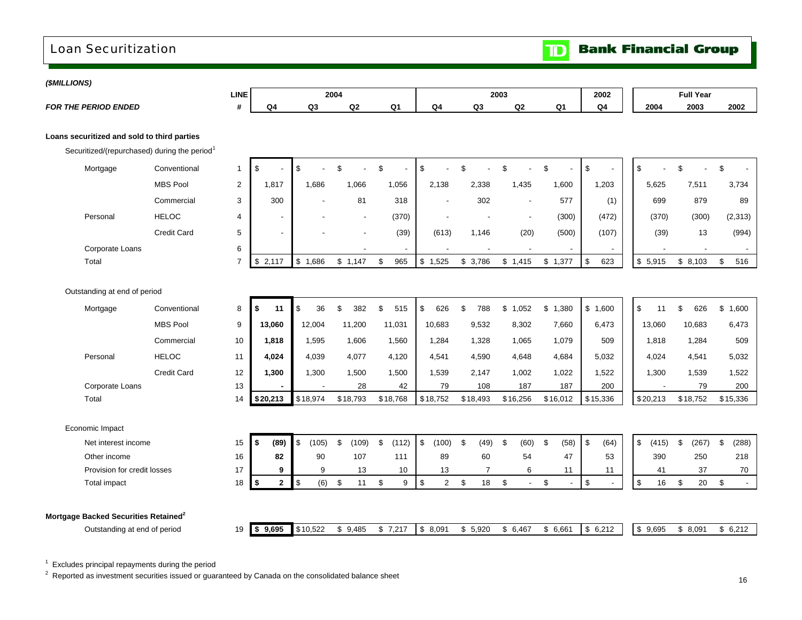## <span id="page-18-0"></span>Loan Securitization

#### *(\$MILLIONS)*

| ( <i>שוטובבוויוק</i>                                                                                    |                    |                |                    |                |                          |                |                                  |                        |            |                |                          |                     |                          |                         |
|---------------------------------------------------------------------------------------------------------|--------------------|----------------|--------------------|----------------|--------------------------|----------------|----------------------------------|------------------------|------------|----------------|--------------------------|---------------------|--------------------------|-------------------------|
|                                                                                                         |                    | <b>LINE</b>    |                    |                | 2004                     |                |                                  |                        | 2003       |                | 2002                     |                     | <b>Full Year</b>         |                         |
| <b>FOR THE PERIOD ENDED</b>                                                                             |                    | #              | Q <sub>4</sub>     | Q <sub>3</sub> | $\mathsf{Q2}$            | Q <sub>1</sub> | Q4                               | Q3                     | Q2         | Q <sub>1</sub> | Q <sub>4</sub>           | 2004                | 2003                     | 2002                    |
| Loans securitized and sold to third parties<br>Securitized/(repurchased) during the period <sup>1</sup> |                    |                |                    |                |                          |                |                                  |                        |            |                |                          |                     |                          |                         |
|                                                                                                         |                    |                |                    |                | $\mathbf{\hat{s}}$       | \$             | \$                               | \$                     |            | \$             |                          |                     |                          | \$                      |
| Mortgage                                                                                                | Conventional       | $\mathbf{1}$   | \$                 | \$             |                          |                |                                  |                        |            |                | \$                       | \$                  |                          |                         |
|                                                                                                         | <b>MBS Pool</b>    | $\overline{2}$ | 1,817              | 1,686          | 1,066                    | 1,056          | 2,138                            | 2,338                  | 1,435      | 1,600          | 1,203                    | 5,625               | 7,511                    | 3,734                   |
|                                                                                                         | Commercial         | 3              | 300                |                | 81                       | 318            | $\sim$                           | 302                    | L.         | 577            | (1)                      | 699                 | 879                      | 89                      |
| Personal                                                                                                | <b>HELOC</b>       | $\overline{4}$ |                    |                | $\overline{\phantom{a}}$ | (370)          |                                  |                        |            | (300)          | (472)                    | (370)               | (300)                    | (2, 313)                |
|                                                                                                         | <b>Credit Card</b> | 5              |                    |                |                          | (39)           | (613)                            | 1,146                  | (20)       | (500)          | (107)                    | (39)                | 13                       | (994)                   |
| Corporate Loans                                                                                         |                    | 6              |                    |                |                          |                |                                  |                        |            |                | $\overline{\phantom{a}}$ |                     | $\overline{\phantom{a}}$ | $\sim$                  |
| Total                                                                                                   |                    | $\overline{7}$ | \$2,117            | \$1,686        | \$1,147                  | \$<br>965      | \$1,525                          | \$3,786                | \$1,415    | \$1,377        | \$<br>623                | \$5,915             | \$8,103                  | \$<br>516               |
| Outstanding at end of period                                                                            |                    |                |                    |                |                          |                |                                  |                        |            |                |                          |                     |                          |                         |
| Mortgage                                                                                                | Conventional       | 8              | 11                 | \$<br>36       | \$<br>382                | \$<br>515      | \$<br>626                        | \$<br>788              | \$1,052    | \$1,380        | \$1,600                  | \$<br>11            | \$<br>626                | \$1,600                 |
|                                                                                                         | <b>MBS Pool</b>    | 9              | 13,060             | 12,004         | 11,200                   | 11,031         | 10,683                           | 9,532                  | 8,302      | 7,660          | 6.473                    | 13,060              | 10,683                   | 6,473                   |
|                                                                                                         | Commercial         | 10             | 1,818              | 1,595          | 1,606                    | 1,560          | 1,284                            | 1,328                  | 1,065      | 1,079          | 509                      | 1,818               | 1,284                    | 509                     |
| Personal                                                                                                | <b>HELOC</b>       | 11             | 4,024              | 4,039          | 4,077                    | 4,120          | 4,541                            | 4,590                  | 4,648      | 4,684          | 5.032                    | 4,024               | 4,541                    | 5,032                   |
|                                                                                                         | Credit Card        | 12             | 1,300              | 1,300          | 1,500                    | 1,500          | 1,539                            | 2,147                  | 1,002      | 1,022          | 1,522                    | 1,300               | 1,539                    | 1,522                   |
| Corporate Loans                                                                                         |                    | 13             |                    |                | 28                       | 42             | 79                               | 108                    | 187        | 187            | 200                      |                     | 79                       | 200                     |
| Total                                                                                                   |                    | 14             | \$20,213           | \$18,974       | \$18,793                 | \$18,768       | \$18,752                         | \$18,493               | \$16,256   | \$16,012       | \$15,336                 | \$20,213            | \$18,752                 | \$15,336                |
| Economic Impact                                                                                         |                    |                |                    |                |                          |                |                                  |                        |            |                |                          |                     |                          |                         |
| Net interest income                                                                                     |                    | 15             | $\sqrt{2}$<br>(89) | \$<br>(105)    | \$<br>(109)              | \$<br>(112)    | $\sqrt[6]{\frac{1}{2}}$<br>(100) | $\mathfrak{S}$<br>(49) | \$<br>(60) | \$<br>(58)     | \$<br>(64)               | $\sqrt{2}$<br>(415) | $\mathbf{s}$<br>(267)    | $\mathfrak{S}$<br>(288) |
| Other income                                                                                            |                    | 16             | 82                 | 90             | 107                      | 111            | 89                               | 60                     | 54         | 47             | 53                       | 390                 | 250                      | 218                     |
| Provision for credit losses                                                                             |                    | 17             | 9                  | 9              | 13                       | 10             | 13                               | $\overline{7}$         | 6          | 11             | 11                       | 41                  | 37                       | 70                      |
| Total impact                                                                                            |                    | 18             | \$<br>$\mathbf{2}$ | (6)<br>\$      | \$<br>11                 | \$<br>9        | $\sqrt{2}$<br>$\overline{2}$     | 18<br>\$               | \$         | \$             | \$                       | $\,$<br>16          | \$<br>20                 | $\mathsf{\$}$           |
| Mortgage Backed Securities Retained <sup>2</sup>                                                        |                    |                |                    |                |                          |                |                                  |                        |            |                |                          |                     |                          |                         |
| Outstanding at end of period                                                                            |                    | 19             | \$9,695            | \$10,522       | \$9,485                  | \$7,217        | \$8,091                          | \$5,920                | \$6,467    | \$6,661        | \$6,212                  | \$9,695             | \$8,091                  | \$6,212                 |
|                                                                                                         |                    |                |                    |                |                          |                |                                  |                        |            |                |                          |                     |                          |                         |

 $1$  Excludes principal repayments during the period

<sup>2</sup> Reported as investment securities issued or guaranteed by Canada on the consolidated balance sheet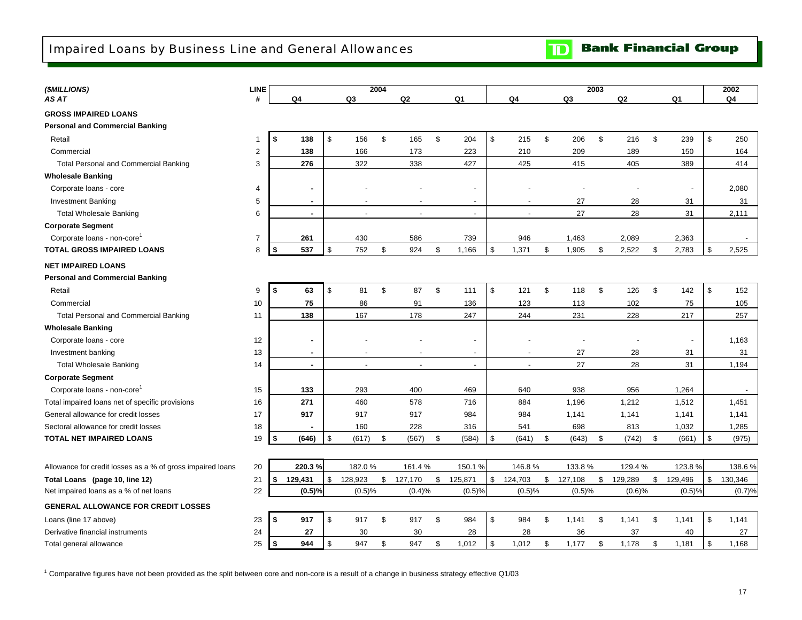<span id="page-19-0"></span>

| (\$MILLIONS)                                               | <b>LINE</b>    |              |                |                | 2004 |                          |               |                          |                |                |         | 2003 |         |               | 2002           |
|------------------------------------------------------------|----------------|--------------|----------------|----------------|------|--------------------------|---------------|--------------------------|----------------|----------------|---------|------|---------|---------------|----------------|
| AS AT                                                      | #              |              | Q4             | Q3             |      | Q2                       |               | Q1                       | Q4             |                | Q3      |      | Q2      | Q1            | Q <sub>4</sub> |
| <b>GROSS IMPAIRED LOANS</b>                                |                |              |                |                |      |                          |               |                          |                |                |         |      |         |               |                |
| <b>Personal and Commercial Banking</b>                     |                |              |                |                |      |                          |               |                          |                |                |         |      |         |               |                |
| Retail                                                     | -1             | S.           | 138            | \$<br>156      | \$   | 165                      | \$            | 204                      | \$<br>215      | \$             | 206     | \$   | 216     | \$<br>239     | \$<br>250      |
| Commercial                                                 | $\overline{c}$ |              | 138            | 166            |      | 173                      |               | 223                      | 210            |                | 209     |      | 189     | 150           | 164            |
| <b>Total Personal and Commercial Banking</b>               | 3              |              | 276            | 322            |      | 338                      |               | 427                      | 425            |                | 415     |      | 405     | 389           | 414            |
| <b>Wholesale Banking</b>                                   |                |              |                |                |      |                          |               |                          |                |                |         |      |         |               |                |
| Corporate loans - core                                     | 4              |              |                |                |      |                          |               |                          |                |                |         |      |         |               | 2,080          |
| <b>Investment Banking</b>                                  | 5              |              | ٠              |                |      |                          |               | $\overline{\phantom{0}}$ |                |                | 27      |      | 28      | 31            | 31             |
| <b>Total Wholesale Banking</b>                             | 6              |              | $\blacksquare$ | $\overline{a}$ |      | $\overline{\phantom{a}}$ |               | $\overline{a}$           | $\overline{a}$ |                | 27      |      | 28      | 31            | 2,111          |
| <b>Corporate Segment</b>                                   |                |              |                |                |      |                          |               |                          |                |                |         |      |         |               |                |
| Corporate loans - non-core <sup>1</sup>                    | $\overline{7}$ |              | 261            | 430            |      | 586                      |               | 739                      | 946            |                | 1,463   |      | 2,089   | 2,363         |                |
| <b>TOTAL GROSS IMPAIRED LOANS</b>                          | 8              | -\$          | 537            | \$<br>752      | \$   | 924                      | \$            | 1,166                    | \$<br>1,371    | \$             | 1,905   | \$   | 2,522   | \$<br>2,783   | \$<br>2,525    |
| <b>NET IMPAIRED LOANS</b>                                  |                |              |                |                |      |                          |               |                          |                |                |         |      |         |               |                |
| <b>Personal and Commercial Banking</b>                     |                |              |                |                |      |                          |               |                          |                |                |         |      |         |               |                |
| Retail                                                     | 9              | S.           | 63             | \$<br>81       | \$   | 87                       | \$            | 111                      | \$<br>121      | \$             | 118     | \$   | 126     | \$<br>142     | \$<br>152      |
| Commercial                                                 | 10             |              | 75             | 86             |      | 91                       |               | 136                      | 123            |                | 113     |      | 102     | 75            | 105            |
| <b>Total Personal and Commercial Banking</b>               | 11             |              | 138            | 167            |      | 178                      |               | 247                      | 244            |                | 231     |      | 228     | 217           | 257            |
| <b>Wholesale Banking</b>                                   |                |              |                |                |      |                          |               |                          |                |                |         |      |         |               |                |
| Corporate loans - core                                     | 12             |              | ٠              |                |      |                          |               |                          |                |                |         |      |         |               | 1,163          |
| Investment banking                                         | 13             |              | $\sim$         |                |      |                          |               | $\overline{\phantom{a}}$ |                |                | 27      |      | 28      | 31            | 31             |
| <b>Total Wholesale Banking</b>                             | 14             |              | $\blacksquare$ |                |      |                          |               | $\overline{a}$           | $\overline{a}$ |                | 27      |      | 28      | 31            | 1,194          |
| <b>Corporate Segment</b>                                   |                |              |                |                |      |                          |               |                          |                |                |         |      |         |               |                |
| Corporate loans - non-core                                 | 15             |              | 133            | 293            |      | 400                      |               | 469                      | 640            |                | 938     |      | 956     | 1,264         |                |
| Total impaired loans net of specific provisions            | 16             |              | 271            | 460            |      | 578                      |               | 716                      | 884            |                | 1,196   |      | 1,212   | 1,512         | 1,451          |
| General allowance for credit losses                        | 17             |              | 917            | 917            |      | 917                      |               | 984                      | 984            |                | 1,141   |      | 1,141   | 1,141         | 1,141          |
| Sectoral allowance for credit losses                       | 18             |              |                | 160            |      | 228                      |               | 316                      | 541            |                | 698     |      | 813     | 1,032         | 1,285          |
| <b>TOTAL NET IMPAIRED LOANS</b>                            | 19             | 5            | (646)          | \$<br>(617)    | \$   | (567)                    | \$            | (584)                    | \$<br>(641)    | \$             | (643)   | \$   | (742)   | \$<br>(661)   | \$<br>(975)    |
|                                                            |                |              |                |                |      |                          |               |                          |                |                |         |      |         |               |                |
| Allowance for credit losses as a % of gross impaired loans | 20             |              | 220.3%         | 182.0%         |      | 161.4%                   |               | 150.1%                   | 146.8%         |                | 133.8%  |      | 129.4 % | 123.8%        | 138.6%         |
| Total Loans (page 10, line 12)                             | 21             | $\mathbf{s}$ | 129,431        | \$<br>128,923  | \$   | 127,170                  | $\sqrt[6]{2}$ | 125,871                  | \$<br>124,703  | $$\mathbb{S}$$ | 127,108 | \$   | 129,289 | \$<br>129,496 | \$<br>130,346  |
| Net impaired loans as a % of net loans                     | 22             |              | (0.5)%         | (0.5)%         |      | (0.4)%                   |               | (0.5)%                   | (0.5)%         |                | (0.5)%  |      | (0.6)%  | (0.5)%        | (0.7)%         |
| <b>GENERAL ALLOWANCE FOR CREDIT LOSSES</b>                 |                |              |                |                |      |                          |               |                          |                |                |         |      |         |               |                |
| Loans (line 17 above)                                      | 23             | S.           | 917            | \$<br>917      | \$   | 917                      | \$            | 984                      | \$<br>984      | \$             | 1,141   | \$   | 1,141   | \$<br>1,141   | \$<br>1,141    |
| Derivative financial instruments                           | 24             |              | 27             | 30             |      | 30                       |               | 28                       | 28             |                | 36      |      | 37      | 40            | 27             |
| Total general allowance                                    | 25             | -\$          | 944            | \$<br>947      | \$   | 947                      | \$            | 1,012                    | \$<br>1,012    | \$             | 1,177   | \$   | 1,178   | \$<br>1,181   | \$<br>1,168    |

 $1$  Comparative figures have not been provided as the split between core and non-core is a result of a change in business strategy effective Q1/03